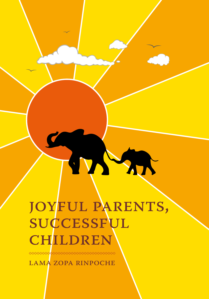# JOYFUL PARENTS, **SUCCESSFUL** CHILDREN

R

 $\ddot{\cdot}$ 

LAMA Zopa Rinpoche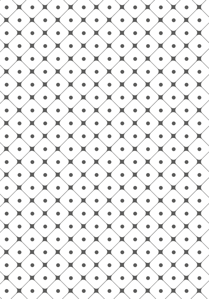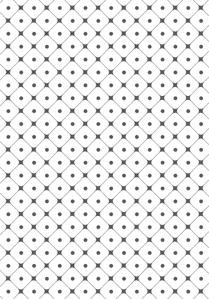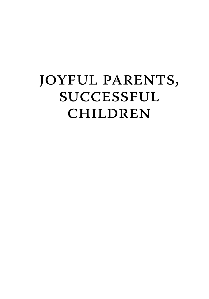## Joyful Parents, **SUCCESSFUL CHILDREN**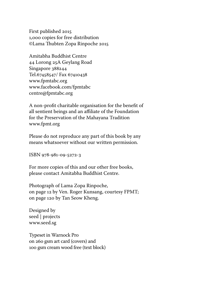First published 2015 1,000 copies for free distribution ©Lama Thubten Zopa Rinpoche 2015

Amitabha Buddhist Centre 44 Lorong 25A Geylang Road Singapore 388244 Tel.67458547/ Fax 67410438 www.fpmtabc.org www.facebook.com/fpmtabc centre@fpmtabc.org

A non-profit charitable organisation for the benefit of all sentient beings and an affiliate of the Foundation for the Preservation of the Mahayana Tradition www.fpmt.org

Please do not reproduce any part of this book by any means whatsoever without our written permission.

ISBN 978-981-09-5272-3

For more copies of this and our other free books, please contact Amitabha Buddhist Centre.

Photograph of Lama Zopa Rinpoche, on page 12 by Ven. Roger Kunsang, courtesy FPMT; on page 120 by Tan Seow Kheng.

Designed by seed | projects www.seed.sg

Typeset in Warnock Pro on 260 gsm art card (covers) and 100 gsm cream wood free (text block)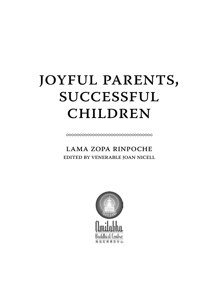## Joyful Parents, **SUCCESSFUL CHILDREN**

\*\*\*\*\*\*\*\*\*\*\*\*\*\*\*\*\*\*\*\*\*\*\*\*\*\*\*\*\*\*\*\*\*

#### Lama Zopa RinpochE EDITED BY VENERABLE JOAN NICELL

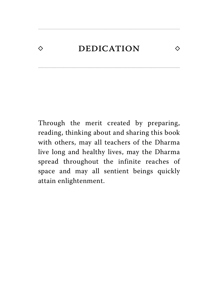#### **DEDICATION**

Through the merit created by preparing, reading, thinking about and sharing this book with others, may all teachers of the Dharma live long and healthy lives, may the Dharma spread throughout the infinite reaches of space and may all sentient beings quickly attain enlightenment.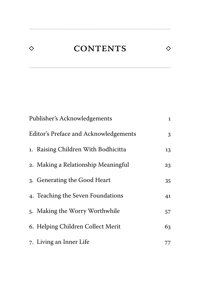### **CONTENTS**

| ٦        |
|----------|
| ۰.<br>۰. |
| Ň,       |
|          |

| Publisher's Acknowledgements          |    |
|---------------------------------------|----|
| Editor's Preface and Acknowledgements | 3  |
| 1. Raising Children With Bodhicitta   | 13 |
| 2. Making a Relationship Meaningful   | 23 |
| 3. Generating the Good Heart          | 35 |
| 4. Teaching the Seven Foundations     | 41 |
| 5. Making the Worry Worthwhile        | 57 |
| 6. Helping Children Collect Merit     | 63 |
| 7. Living an Inner Life               | 77 |

 $\Diamond$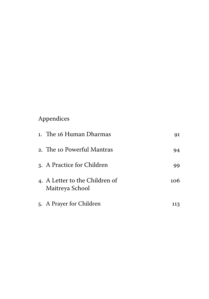#### Appendices

| 1. The 16 Human Dharmas                           | 91  |
|---------------------------------------------------|-----|
| 2. The 10 Powerful Mantras                        | 94  |
| 3. A Practice for Children                        | 99  |
| 4. A Letter to the Children of<br>Maitreya School | 106 |
| 5. A Prayer for Children                          | 113 |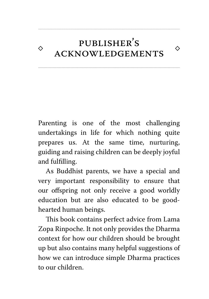#### publisher's ♦ ♦ ACKNOWLEDGEMENTS

Parenting is one of the most challenging undertakings in life for which nothing quite prepares us. At the same time, nurturing, guiding and raising children can be deeply joyful and fulfilling.

As Buddhist parents, we have a special and very important responsibility to ensure that our offspring not only receive a good worldly education but are also educated to be goodhearted human beings.

This book contains perfect advice from Lama Zopa Rinpoche. It not only provides the Dharma context for how our children should be brought up but also contains many helpful suggestions of how we can introduce simple Dharma practices to our children.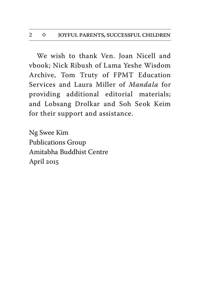We wish to thank Ven. Joan Nicell and vbook; Nick Ribush of Lama Yeshe Wisdom Archive, Tom Truty of FPMT Education Services and Laura Miller of *Mandala* for providing additional editorial materials; and Lobsang Drolkar and Soh Seok Keim for their support and assistance.

Ng Swee Kim Publications Group Amitabha Buddhist Centre April 2015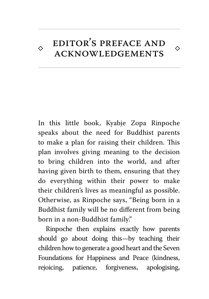#### Editor's Preface and ♦ ACKNOWLEDGEMENTS

In this little book, Kyabje Zopa Rinpoche speaks about the need for Buddhist parents to make a plan for raising their children. This plan involves giving meaning to the decision to bring children into the world, and after having given birth to them, ensuring that they do everything within their power to make their children's lives as meaningful as possible. Otherwise, as Rinpoche says, "Being born in a Buddhist family will be no different from being born in a non-Buddhist family."

Rinpoche then explains exactly how parents should go about doing this—by teaching their children how to generate a good heart and the Seven Foundations for Happiness and Peace (kindness, rejoicing, patience, forgiveness, apologising,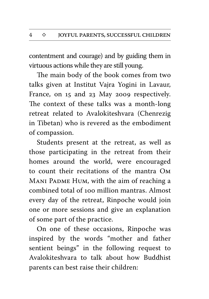contentment and courage) and by guiding them in virtuous actions while they are still young.

The main body of the book comes from two talks given at Institut Vajra Yogini in Lavaur, France, on 15 and 23 May 2009 respectively. The context of these talks was a month-long retreat related to Avalokiteshvara (Chenrezig in Tibetan) who is revered as the embodiment of compassion.

Students present at the retreat, as well as those participating in the retreat from their homes around the world, were encouraged to count their recitations of the mantra OM MANI PADME HUM, with the aim of reaching a combined total of 100 million mantras. Almost every day of the retreat, Rinpoche would join one or more sessions and give an explanation of some part of the practice.

On one of these occasions, Rinpoche was inspired by the words "mother and father sentient beings" in the following request to Avalokiteshvara to talk about how Buddhist parents can best raise their children: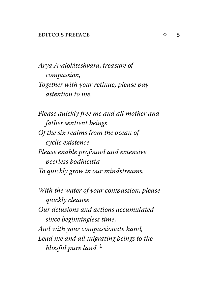*Arya Avalokiteshvara, treasure of compassion, Together with your retinue, please pay attention to me.*

*Please quickly free me and all mother and father sentient beings Of the six realms from the ocean of cyclic existence. Please enable profound and extensive peerless bodhicitta To quickly grow in our mindstreams.* 

*With the water of your compassion, please quickly cleanse Our delusions and actions accumulated since beginningless time, And with your compassionate hand, Lead me and all migrating beings to the blissful pure land.* <sup>1</sup>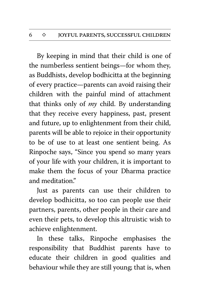By keeping in mind that their child is one of the numberless sentient beings—for whom they, as Buddhists, develop bodhicitta at the beginning of every practice—parents can avoid raising their children with the painful mind of attachment that thinks only of *my* child. By understanding that they receive every happiness, past, present and future, up to enlightenment from their child, parents will be able to rejoice in their opportunity to be of use to at least one sentient being. As Rinpoche says, "Since you spend so many years of your life with your children, it is important to make them the focus of your Dharma practice and meditation."

Just as parents can use their children to develop bodhicitta, so too can people use their partners, parents, other people in their care and even their pets, to develop this altruistic wish to achieve enlightenment.

In these talks, Rinpoche emphasises the responsibility that Buddhist parents have to educate their children in good qualities and behaviour while they are still young; that is, when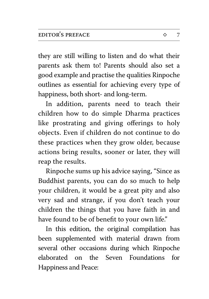they are still willing to listen and do what their parents ask them to! Parents should also set a good example and practise the qualities Rinpoche outlines as essential for achieving every type of happiness, both short- and long-term.

In addition, parents need to teach their children how to do simple Dharma practices like prostrating and giving offerings to holy objects. Even if children do not continue to do these practices when they grow older, because actions bring results, sooner or later, they will reap the results.

Rinpoche sums up his advice saying, "Since as Buddhist parents, you can do so much to help your children, it would be a great pity and also very sad and strange, if you don't teach your children the things that you have faith in and have found to be of benefit to your own life."

In this edition, the original compilation has been supplemented with material drawn from several other occasions during which Rinpoche elaborated on the Seven Foundations for Happiness and Peace: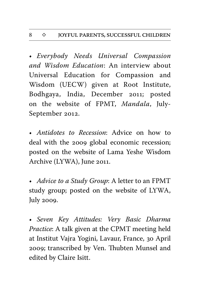• *Everybody Needs Universal Compassion and Wisdom Education*: An interview about Universal Education for Compassion and Wisdom (UECW) given at Root Institute, Bodhgaya, India, December 2011; posted on the website of FPMT, *Mandala*, July-September 2012.

• *Antidotes to Recession*: Advice on how to deal with the 2009 global economic recession; posted on the website of Lama Yeshe Wisdom Archive (LYWA), June 2011.

• *Advice to a Study Group*: A letter to an FPMT study group; posted on the website of LYWA, July 2009.

• *Seven Key Attitudes: Very Basic Dharma Practice*: A talk given at the CPMT meeting held at Institut Vajra Yogini, Lavaur, France, 30 April 2009; transcribed by Ven. Thubten Munsel and edited by Claire Isitt.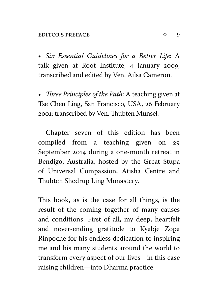• *Six Essential Guidelines for a Better Life*: A talk given at Root Institute, 4 January 2009; transcribed and edited by Ven. Ailsa Cameron.

• *Three Principles of the Path*: A teaching given at Tse Chen Ling, San Francisco, USA, 26 February 2001; transcribed by Ven. Thubten Munsel.

Chapter seven of this edition has been compiled from a teaching given on 29 September 2014 during a one-month retreat in Bendigo, Australia, hosted by the Great Stupa of Universal Compassion, Atisha Centre and Thubten Shedrup Ling Monastery.

This book, as is the case for all things, is the result of the coming together of many causes and conditions. First of all, my deep, heartfelt and never-ending gratitude to Kyabje Zopa Rinpoche for his endless dedication to inspiring me and his many students around the world to transform every aspect of our lives—in this case raising children—into Dharma practice.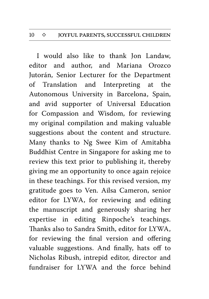I would also like to thank Jon Landaw, editor and author, and Mariana Orozco Jutorán, Senior Lecturer for the Department of Translation and Interpreting at the Autonomous University in Barcelona, Spain, and avid supporter of Universal Education for Compassion and Wisdom, for reviewing my original compilation and making valuable suggestions about the content and structure. Many thanks to Ng Swee Kim of Amitabha Buddhist Centre in Singapore for asking me to review this text prior to publishing it, thereby giving me an opportunity to once again rejoice in these teachings. For this revised version, my gratitude goes to Ven. Ailsa Cameron, senior editor for LYWA, for reviewing and editing the manuscript and generously sharing her expertise in editing Rinpoche's teachings. Thanks also to Sandra Smith, editor for LYWA, for reviewing the final version and offering valuable suggestions. And finally, hats off to Nicholas Ribush, intrepid editor, director and fundraiser for LYWA and the force behind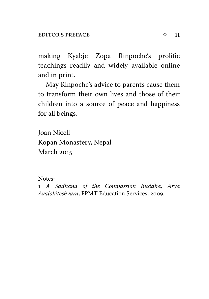making Kyabje Zopa Rinpoche's prolific teachings readily and widely available online and in print.

May Rinpoche's advice to parents cause them to transform their own lives and those of their children into a source of peace and happiness for all beings.

Joan Nicell Kopan Monastery, Nepal March 2015

Notes:

1 *A Sadhana of the Compassion Buddha, Arya Avalokiteshvara*, FPMT Education Services, 2009.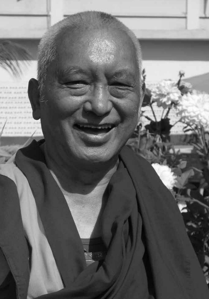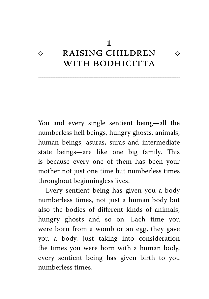#### 1 Raising children ♦ WITH BODHICITTA

♦

You and every single sentient being—all the numberless hell beings, hungry ghosts, animals, human beings, asuras, suras and intermediate state beings—are like one big family. This is because every one of them has been your mother not just one time but numberless times throughout beginningless lives.

Every sentient being has given you a body numberless times, not just a human body but also the bodies of different kinds of animals, hungry ghosts and so on. Each time you were born from a womb or an egg, they gave you a body. Just taking into consideration the times you were born with a human body, every sentient being has given birth to you numberless times.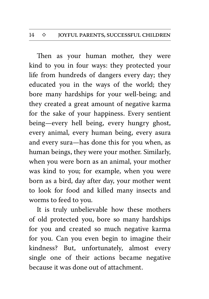#### 14  $\diamond$  IOYFUL PARENTS, SUCCESSFUL CHILDREN

Then as your human mother, they were kind to you in four ways: they protected your life from hundreds of dangers every day; they educated you in the ways of the world; they bore many hardships for your well-being; and they created a great amount of negative karma for the sake of your happiness. Every sentient being—every hell being, every hungry ghost, every animal, every human being, every asura and every sura—has done this for you when, as human beings, they were your mother. Similarly, when you were born as an animal, your mother was kind to you; for example, when you were born as a bird, day after day, your mother went to look for food and killed many insects and worms to feed to you.

It is truly unbelievable how these mothers of old protected you, bore so many hardships for you and created so much negative karma for you. Can you even begin to imagine their kindness? But, unfortunately, almost every single one of their actions became negative because it was done out of attachment.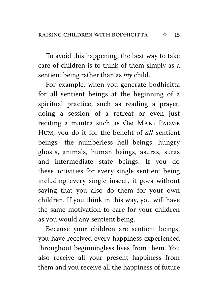To avoid this happening, the best way to take care of children is to think of them simply as a sentient being rather than as *my* child.

For example, when you generate bodhicitta for all sentient beings at the beginning of a spiritual practice, such as reading a prayer, doing a session of a retreat or even just reciting a mantra such as OM MANI PADME HUM, you do it for the benefit of *all* sentient beings—the numberless hell beings, hungry ghosts, animals, human beings, asuras, suras and intermediate state beings. If you do these activities for every single sentient being including every single insect, it goes without saying that you also do them for your own children. If you think in this way, you will have the same motivation to care for your children as you would any sentient being.

Because your children are sentient beings, you have received every happiness experienced throughout beginningless lives from them. You also receive all your present happiness from them and you receive all the happiness of future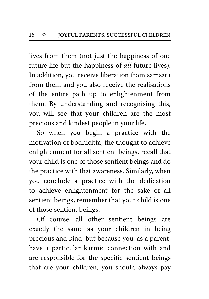lives from them (not just the happiness of one future life but the happiness of *all* future lives). In addition, you receive liberation from samsara from them and you also receive the realisations of the entire path up to enlightenment from them. By understanding and recognising this, you will see that your children are the most precious and kindest people in your life.

So when you begin a practice with the motivation of bodhicitta, the thought to achieve enlightenment for all sentient beings, recall that your child is one of those sentient beings and do the practice with that awareness. Similarly, when you conclude a practice with the dedication to achieve enlightenment for the sake of all sentient beings, remember that your child is one of those sentient beings.

Of course, all other sentient beings are exactly the same as your children in being precious and kind, but because you, as a parent, have a particular karmic connection with and are responsible for the specific sentient beings that are your children, you should always pay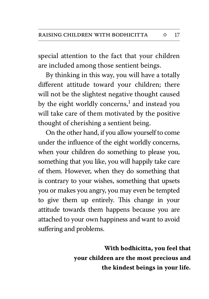special attention to the fact that your children are included among those sentient beings.

By thinking in this way, you will have a totally different attitude toward your children; there will not be the slightest negative thought caused by the eight worldly concerns, $^1$  and instead you will take care of them motivated by the positive thought of cherishing a sentient being.

On the other hand, if you allow yourself to come under the influence of the eight worldly concerns, when your children do something to please you, something that you like, you will happily take care of them. However, when they do something that is contrary to your wishes, something that upsets you or makes you angry, you may even be tempted to give them up entirely. This change in your attitude towards them happens because you are attached to your own happiness and want to avoid suffering and problems.

> **With bodhicitta, you feel that your children are the most precious and the kindest beings in your life.**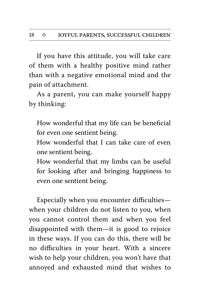If you have this attitude, you will take care of them with a healthy positive mind rather than with a negative emotional mind and the pain of attachment.

As a parent, you can make yourself happy by thinking:

How wonderful that my life can be beneficial for even one sentient being.

How wonderful that I can take care of even one sentient being.

How wonderful that my limbs can be useful for looking after and bringing happiness to even one sentient being.

Especially when you encounter difficulties when your children do not listen to you, when you cannot control them and when you feel disappointed with them—it is good to rejoice in these ways. If you can do this, there will be no difficulties in your heart. With a sincere wish to help your children, you won't have that annoyed and exhausted mind that wishes to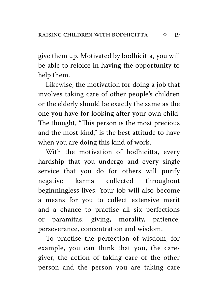give them up. Motivated by bodhicitta, you will be able to rejoice in having the opportunity to help them.

Likewise, the motivation for doing a job that involves taking care of other people's children or the elderly should be exactly the same as the one you have for looking after your own child. The thought, "This person is the most precious and the most kind," is the best attitude to have when you are doing this kind of work.

With the motivation of bodhicitta, every hardship that you undergo and every single service that you do for others will purify negative karma collected throughout beginningless lives. Your job will also become a means for you to collect extensive merit and a chance to practise all six perfections or paramitas: giving, morality, patience, perseverance, concentration and wisdom.

To practise the perfection of wisdom, for example, you can think that you, the caregiver, the action of taking care of the other person and the person you are taking care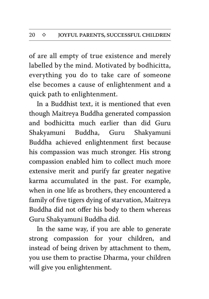of are all empty of true existence and merely labelled by the mind. Motivated by bodhicitta, everything you do to take care of someone else becomes a cause of enlightenment and a quick path to enlightenment.

In a Buddhist text, it is mentioned that even though Maitreya Buddha generated compassion and bodhicitta much earlier than did Guru Shakyamuni Buddha, Guru Shakyamuni Buddha achieved enlightenment first because his compassion was much stronger. His strong compassion enabled him to collect much more extensive merit and purify far greater negative karma accumulated in the past. For example, when in one life as brothers, they encountered a family of five tigers dying of starvation, Maitreya Buddha did not offer his body to them whereas Guru Shakyamuni Buddha did.

In the same way, if you are able to generate strong compassion for your children, and instead of being driven by attachment to them, you use them to practise Dharma, your children will give you enlightenment.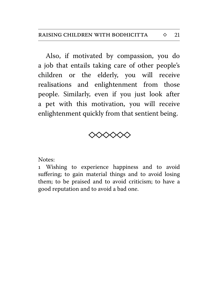Also, if motivated by compassion, you do a job that entails taking care of other people's children or the elderly, you will receive realisations and enlightenment from those people. Similarly, even if you just look after a pet with this motivation, you will receive enlightenment quickly from that sentient being.



Notes:

1 Wishing to experience happiness and to avoid suffering; to gain material things and to avoid losing them; to be praised and to avoid criticism; to have a good reputation and to avoid a bad one.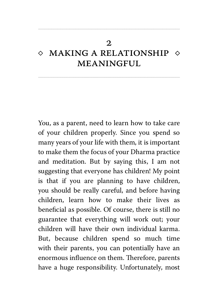### 2  $\diamond$  MAKING A RELATIONSHIP  $\diamond$ MEANINGFUL.

You, as a parent, need to learn how to take care of your children properly. Since you spend so many years of your life with them, it is important to make them the focus of your Dharma practice and meditation. But by saying this, I am not suggesting that everyone has children! My point is that if you are planning to have children, you should be really careful, and before having children, learn how to make their lives as beneficial as possible. Of course, there is still no guarantee that everything will work out; your children will have their own individual karma. But, because children spend so much time with their parents, you can potentially have an enormous influence on them. Therefore, parents have a huge responsibility. Unfortunately, most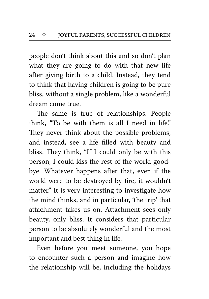people don't think about this and so don't plan what they are going to do with that new life after giving birth to a child. Instead, they tend to think that having children is going to be pure bliss, without a single problem, like a wonderful dream come true.

The same is true of relationships. People think, "To be with them is all I need in life." They never think about the possible problems, and instead, see a life filled with beauty and bliss. They think, "If I could only be with this person, I could kiss the rest of the world goodbye. Whatever happens after that, even if the world were to be destroyed by fire, it wouldn't matter." It is very interesting to investigate how the mind thinks, and in particular, 'the trip' that attachment takes us on. Attachment sees only beauty, only bliss. It considers that particular person to be absolutely wonderful and the most important and best thing in life.

Even before you meet someone, you hope to encounter such a person and imagine how the relationship will be, including the holidays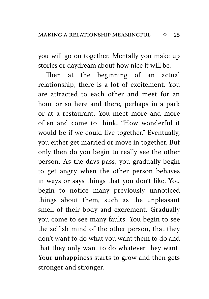you will go on together. Mentally you make up stories or daydream about how nice it will be.

Then at the beginning of an actual relationship, there is a lot of excitement. You are attracted to each other and meet for an hour or so here and there, perhaps in a park or at a restaurant. You meet more and more often and come to think, "How wonderful it would be if we could live together." Eventually, you either get married or move in together. But only then do you begin to really see the other person. As the days pass, you gradually begin to get angry when the other person behaves in ways or says things that you don't like. You begin to notice many previously unnoticed things about them, such as the unpleasant smell of their body and excrement. Gradually you come to see many faults. You begin to see the selfish mind of the other person, that they don't want to do what you want them to do and that they only want to do whatever they want. Your unhappiness starts to grow and then gets stronger and stronger.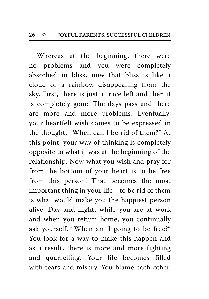Whereas at the beginning, there were no problems and you were completely absorbed in bliss, now that bliss is like a cloud or a rainbow disappearing from the sky. First, there is just a trace left and then it is completely gone. The days pass and there are more and more problems. Eventually, your heartfelt wish comes to be expressed in the thought, "When can I be rid of them?" At this point, your way of thinking is completely opposite to what it was at the beginning of the relationship. Now what you wish and pray for from the bottom of your heart is to be free from this person! That becomes the most important thing in your life—to be rid of them is what would make you the happiest person alive. Day and night, while you are at work and when you return home, you continually ask yourself, "When am I going to be free?" You look for a way to make this happen and as a result, there is more and more fighting and quarrelling. Your life becomes filled with tears and misery. You blame each other,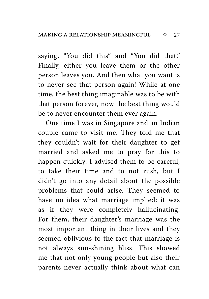saying, "You did this" and "You did that." Finally, either you leave them or the other person leaves you. And then what you want is to never see that person again! While at one time, the best thing imaginable was to be with that person forever, now the best thing would be to never encounter them ever again.

One time I was in Singapore and an Indian couple came to visit me. They told me that they couldn't wait for their daughter to get married and asked me to pray for this to happen quickly. I advised them to be careful, to take their time and to not rush, but I didn't go into any detail about the possible problems that could arise. They seemed to have no idea what marriage implied; it was as if they were completely hallucinating. For them, their daughter's marriage was the most important thing in their lives and they seemed oblivious to the fact that marriage is not always sun-shining bliss. This showed me that not only young people but also their parents never actually think about what can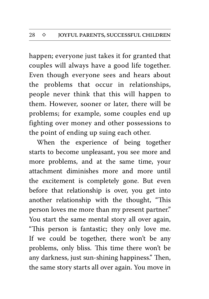happen; everyone just takes it for granted that couples will always have a good life together. Even though everyone sees and hears about the problems that occur in relationships, people never think that this will happen to them. However, sooner or later, there will be problems; for example, some couples end up fighting over money and other possessions to the point of ending up suing each other.

When the experience of being together starts to become unpleasant, you see more and more problems, and at the same time, your attachment diminishes more and more until the excitement is completely gone. But even before that relationship is over, you get into another relationship with the thought, "This person loves me more than my present partner." You start the same mental story all over again, "This person is fantastic; they only love me. If we could be together, there won't be any problems, only bliss. This time there won't be any darkness, just sun-shining happiness." Then, the same story starts all over again. You move in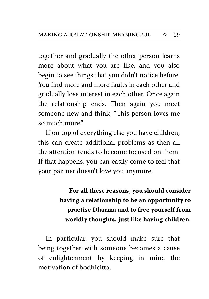together and gradually the other person learns more about what you are like, and you also begin to see things that you didn't notice before. You find more and more faults in each other and gradually lose interest in each other. Once again the relationship ends. Then again you meet someone new and think, "This person loves me so much more."

If on top of everything else you have children, this can create additional problems as then all the attention tends to become focused on them. If that happens, you can easily come to feel that your partner doesn't love you anymore.

> **For all these reasons, you should consider having a relationship to be an opportunity to practise Dharma and to free yourself from worldly thoughts, just like having children.**

In particular, you should make sure that being together with someone becomes a cause of enlightenment by keeping in mind the motivation of bodhicitta.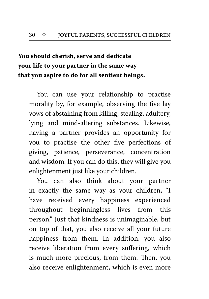## **You should cherish, serve and dedicate your life to your partner in the same way that you aspire to do for all sentient beings.**

You can use your relationship to practise morality by, for example, observing the five lay vows of abstaining from killing, stealing, adultery, lying and mind-altering substances. Likewise, having a partner provides an opportunity for you to practise the other five perfections of giving, patience, perseverance, concentration and wisdom. If you can do this, they will give you enlightenment just like your children.

You can also think about your partner in exactly the same way as your children, "I have received every happiness experienced throughout beginningless lives from this person." Just that kindness is unimaginable, but on top of that, you also receive all your future happiness from them. In addition, you also receive liberation from every suffering, which is much more precious, from them. Then, you also receive enlightenment, which is even more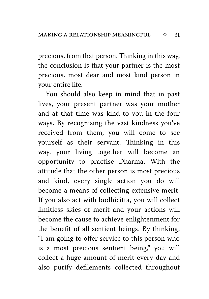precious, from that person. Thinking in this way, the conclusion is that your partner is the most precious, most dear and most kind person in your entire life.

You should also keep in mind that in past lives, your present partner was your mother and at that time was kind to you in the four ways. By recognising the vast kindness you've received from them, you will come to see yourself as their servant. Thinking in this way, your living together will become an opportunity to practise Dharma. With the attitude that the other person is most precious and kind, every single action you do will become a means of collecting extensive merit. If you also act with bodhicitta, you will collect limitless skies of merit and your actions will become the cause to achieve enlightenment for the benefit of all sentient beings. By thinking, "I am going to offer service to this person who is a most precious sentient being," you will collect a huge amount of merit every day and also purify defilements collected throughout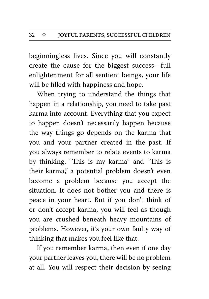beginningless lives. Since you will constantly create the cause for the biggest success—full enlightenment for all sentient beings, your life will be filled with happiness and hope.

When trying to understand the things that happen in a relationship, you need to take past karma into account. Everything that you expect to happen doesn't necessarily happen because the way things go depends on the karma that you and your partner created in the past. If you always remember to relate events to karma by thinking, "This is my karma" and "This is their karma," a potential problem doesn't even become a problem because you accept the situation. It does not bother you and there is peace in your heart. But if you don't think of or don't accept karma, you will feel as though you are crushed beneath heavy mountains of problems. However, it's your own faulty way of thinking that makes you feel like that.

If you remember karma, then even if one day your partner leaves you, there will be no problem at all. You will respect their decision by seeing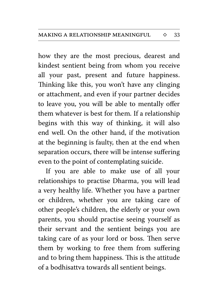how they are the most precious, dearest and kindest sentient being from whom you receive all your past, present and future happiness. Thinking like this, you won't have any clinging or attachment, and even if your partner decides to leave you, you will be able to mentally offer them whatever is best for them. If a relationship begins with this way of thinking, it will also end well. On the other hand, if the motivation at the beginning is faulty, then at the end when separation occurs, there will be intense suffering even to the point of contemplating suicide.

If you are able to make use of all your relationships to practise Dharma, you will lead a very healthy life. Whether you have a partner or children, whether you are taking care of other people's children, the elderly or your own parents, you should practise seeing yourself as their servant and the sentient beings you are taking care of as your lord or boss. Then serve them by working to free them from suffering and to bring them happiness. This is the attitude of a bodhisattva towards all sentient beings.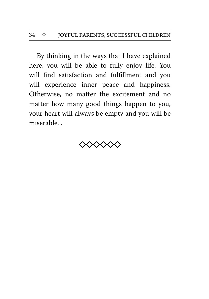By thinking in the ways that I have explained here, you will be able to fully enjoy life. You will find satisfaction and fulfillment and you will experience inner peace and happiness. Otherwise, no matter the excitement and no matter how many good things happen to you, your heart will always be empty and you will be miserable. .

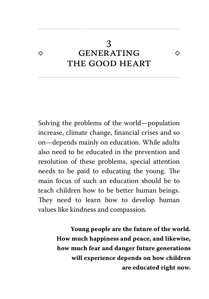# 3 GENERATING THE GOOD HEART

Solving the problems of the world—population increase, climate change, financial crises and so on—depends mainly on education. While adults also need to be educated in the prevention and resolution of these problems, special attention needs to be paid to educating the young. The main focus of such an education should be to teach children how to be better human beings. They need to learn how to develop human values like kindness and compassion.

> **Young people are the future of the world. How much happiness and peace, and likewise, how much fear and danger future generations will experience depends on how children are educated right now.**

♦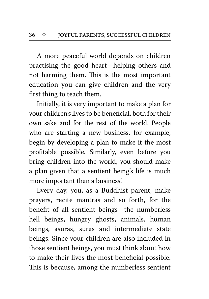A more peaceful world depends on children practising the good heart—helping others and not harming them. This is the most important education you can give children and the very first thing to teach them.

Initially, it is very important to make a plan for your children's lives to be beneficial, both for their own sake and for the rest of the world. People who are starting a new business, for example, begin by developing a plan to make it the most profitable possible. Similarly, even before you bring children into the world, you should make a plan given that a sentient being's life is much more important than a business!

Every day, you, as a Buddhist parent, make prayers, recite mantras and so forth, for the benefit of all sentient beings—the numberless hell beings, hungry ghosts, animals, human beings, asuras, suras and intermediate state beings. Since your children are also included in those sentient beings, you must think about how to make their lives the most beneficial possible. This is because, among the numberless sentient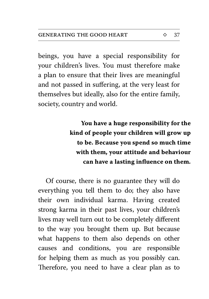beings, you have a special responsibility for your children's lives. You must therefore make a plan to ensure that their lives are meaningful and not passed in suffering, at the very least for themselves but ideally, also for the entire family, society, country and world.

> **You have a huge responsibility for the kind of people your children will grow up to be. Because you spend so much time with them, your attitude and behaviour can have a lasting influence on them.**

Of course, there is no guarantee they will do everything you tell them to do; they also have their own individual karma. Having created strong karma in their past lives, your children's lives may well turn out to be completely different to the way you brought them up. But because what happens to them also depends on other causes and conditions, you are responsible for helping them as much as you possibly can. Therefore, you need to have a clear plan as to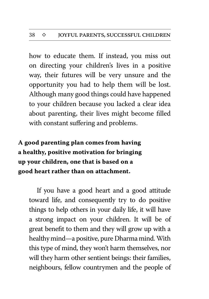how to educate them. If instead, you miss out on directing your children's lives in a positive way, their futures will be very unsure and the opportunity you had to help them will be lost. Although many good things could have happened to your children because you lacked a clear idea about parenting, their lives might become filled with constant suffering and problems.

## **A good parenting plan comes from having a healthy, positive motivation for bringing up your children, one that is based on a good heart rather than on attachment.**

If you have a good heart and a good attitude toward life, and consequently try to do positive things to help others in your daily life, it will have a strong impact on your children. It will be of great benefit to them and they will grow up with a healthy mind—a positive, pure Dharma mind. With this type of mind, they won't harm themselves, nor will they harm other sentient beings: their families, neighbours, fellow countrymen and the people of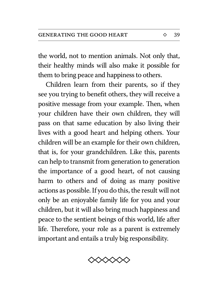the world, not to mention animals. Not only that, their healthy minds will also make it possible for them to bring peace and happiness to others.

Children learn from their parents, so if they see you trying to benefit others, they will receive a positive message from your example. Then, when your children have their own children, they will pass on that same education by also living their lives with a good heart and helping others. Your children will be an example for their own children, that is, for your grandchildren. Like this, parents can help to transmit from generation to generation the importance of a good heart, of not causing harm to others and of doing as many positive actions as possible. If you do this, the result will not only be an enjoyable family life for you and your children, but it will also bring much happiness and peace to the sentient beings of this world, life after life. Therefore, your role as a parent is extremely important and entails a truly big responsibility.

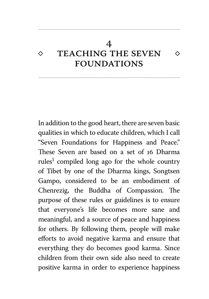#### $\boldsymbol{\Lambda}$ TEACHING THE SEVEN ♦ ♦ FOUNDATIONS

In addition to the good heart, there are seven basic qualities in which to educate children, which I call "Seven Foundations for Happiness and Peace." These Seven are based on a set of 16 Dharma rules<sup>1</sup> compiled long ago for the whole country of Tibet by one of the Dharma kings, Songtsen Gampo, considered to be an embodiment of Chenrezig, the Buddha of Compassion. The purpose of these rules or guidelines is to ensure that everyone's life becomes more sane and meaningful, and a source of peace and happiness for others. By following them, people will make efforts to avoid negative karma and ensure that everything they do becomes good karma. Since children from their own side also need to create positive karma in order to experience happiness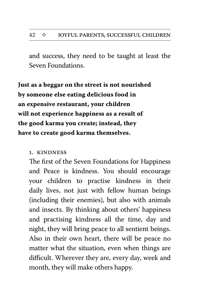and success, they need to be taught at least the Seven Foundations.

**Just as a beggar on the street is not nourished by someone else eating delicious food in an expensive restaurant, your children will not experience happiness as a result of the good karma you create; instead, they have to create good karma themselves.**

#### 1. KINDNESS

The first of the Seven Foundations for Happiness and Peace is kindness. You should encourage your children to practise kindness in their daily lives, not just with fellow human beings (including their enemies), but also with animals and insects. By thinking about others' happiness and practising kindness all the time, day and night, they will bring peace to all sentient beings. Also in their own heart, there will be peace no matter what the situation, even when things are difficult. Wherever they are, every day, week and month, they will make others happy.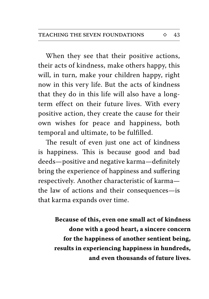When they see that their positive actions, their acts of kindness, make others happy, this will, in turn, make your children happy, right now in this very life. But the acts of kindness that they do in this life will also have a longterm effect on their future lives. With every positive action, they create the cause for their own wishes for peace and happiness, both temporal and ultimate, to be fulfilled.

The result of even just one act of kindness is happiness. This is because good and bad deeds—positive and negative karma—definitely bring the experience of happiness and suffering respectively. Another characteristic of karma the law of actions and their consequences—is that karma expands over time.

> **Because of this, even one small act of kindness done with a good heart, a sincere concern for the happiness of another sentient being, results in experiencing happiness in hundreds, and even thousands of future lives.**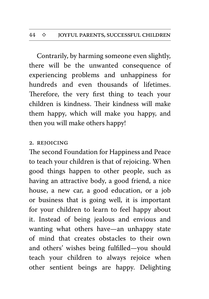Contrarily, by harming someone even slightly, there will be the unwanted consequence of experiencing problems and unhappiness for hundreds and even thousands of lifetimes. Therefore, the very first thing to teach your children is kindness. Their kindness will make them happy, which will make you happy, and then you will make others happy!

#### 2. REJOICING

The second Foundation for Happiness and Peace to teach your children is that of rejoicing. When good things happen to other people, such as having an attractive body, a good friend, a nice house, a new car, a good education, or a job or business that is going well, it is important for your children to learn to feel happy about it. Instead of being jealous and envious and wanting what others have—an unhappy state of mind that creates obstacles to their own and others' wishes being fulfilled—you should teach your children to always rejoice when other sentient beings are happy. Delighting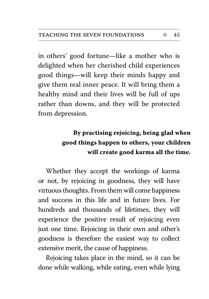in others' good fortune—like a mother who is delighted when her cherished child experiences good things—will keep their minds happy and give them real inner peace. It will bring them a healthy mind and their lives will be full of ups rather than downs, and they will be protected from depression.

## **By practising rejoicing, being glad when good things happen to others, your children will create good karma all the time.**

Whether they accept the workings of karma or not, by rejoicing in goodness, they will have virtuous thoughts. From them will come happiness and success in this life and in future lives. For hundreds and thousands of lifetimes, they will experience the positive result of rejoicing even just one time. Rejoicing in their own and other's goodness is therefore the easiest way to collect extensive merit, the cause of happiness.

Rejoicing takes place in the mind, so it can be done while walking, while eating, even while lying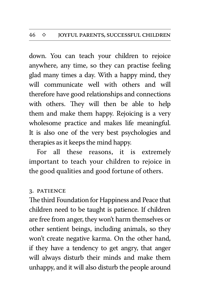down. You can teach your children to rejoice anywhere, any time, so they can practise feeling glad many times a day. With a happy mind, they will communicate well with others and will therefore have good relationships and connections with others. They will then be able to help them and make them happy. Rejoicing is a very wholesome practice and makes life meaningful. It is also one of the very best psychologies and therapies as it keeps the mind happy.

For all these reasons, it is extremely important to teach your children to rejoice in the good qualities and good fortune of others.

### 3. PATIENCE

The third Foundation for Happiness and Peace that children need to be taught is patience. If children are free from anger, they won't harm themselves or other sentient beings, including animals, so they won't create negative karma. On the other hand, if they have a tendency to get angry, that anger will always disturb their minds and make them unhappy, and it will also disturb the people around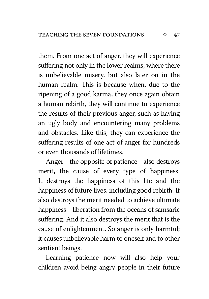them. From one act of anger, they will experience suffering not only in the lower realms, where there is unbelievable misery, but also later on in the human realm. This is because when, due to the ripening of a good karma, they once again obtain a human rebirth, they will continue to experience the results of their previous anger, such as having an ugly body and encountering many problems and obstacles. Like this, they can experience the suffering results of one act of anger for hundreds or even thousands of lifetimes.

Anger—the opposite of patience—also destroys merit, the cause of every type of happiness. It destroys the happiness of this life and the happiness of future lives, including good rebirth. It also destroys the merit needed to achieve ultimate happiness—liberation from the oceans of samsaric suffering. And it also destroys the merit that is the cause of enlightenment. So anger is only harmful; it causes unbelievable harm to oneself and to other sentient beings.

Learning patience now will also help your children avoid being angry people in their future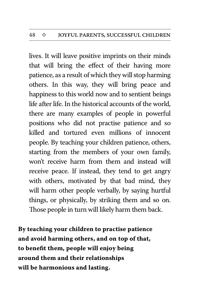lives. It will leave positive imprints on their minds that will bring the effect of their having more patience, as a result of which they will stop harming others. In this way, they will bring peace and happiness to this world now and to sentient beings life after life. In the historical accounts of the world, there are many examples of people in powerful positions who did not practise patience and so killed and tortured even millions of innocent people. By teaching your children patience, others, starting from the members of your own family, won't receive harm from them and instead will receive peace. If instead, they tend to get angry with others, motivated by that bad mind, they will harm other people verbally, by saying hurtful things, or physically, by striking them and so on. Those people in turn will likely harm them back.

**By teaching your children to practise patience and avoid harming others, and on top of that, to benefit them, people will enjoy being around them and their relationships will be harmonious and lasting.**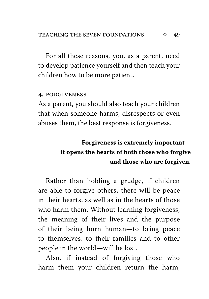For all these reasons, you, as a parent, need to develop patience yourself and then teach your children how to be more patient.

### 4. FORGIVENESS

As a parent, you should also teach your children that when someone harms, disrespects or even abuses them, the best response is forgiveness.

## **Forgiveness is extremely important it opens the hearts of both those who forgive and those who are forgiven.**

Rather than holding a grudge, if children are able to forgive others, there will be peace in their hearts, as well as in the hearts of those who harm them. Without learning forgiveness, the meaning of their lives and the purpose of their being born human—to bring peace to themselves, to their families and to other people in the world—will be lost.

Also, if instead of forgiving those who harm them your children return the harm,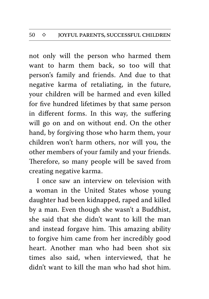not only will the person who harmed them want to harm them back, so too will that person's family and friends. And due to that negative karma of retaliating, in the future, your children will be harmed and even killed for five hundred lifetimes by that same person in different forms. In this way, the suffering will go on and on without end. On the other hand, by forgiving those who harm them, your children won't harm others, nor will you, the other members of your family and your friends. Therefore, so many people will be saved from creating negative karma.

I once saw an interview on television with a woman in the United States whose young daughter had been kidnapped, raped and killed by a man. Even though she wasn't a Buddhist, she said that she didn't want to kill the man and instead forgave him. This amazing ability to forgive him came from her incredibly good heart. Another man who had been shot six times also said, when interviewed, that he didn't want to kill the man who had shot him.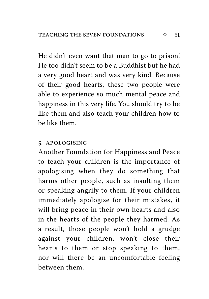He didn't even want that man to go to prison! He too didn't seem to be a Buddhist but he had a very good heart and was very kind. Because of their good hearts, these two people were able to experience so much mental peace and happiness in this very life. You should try to be like them and also teach your children how to be like them.

### 5. APOLOGISING

Another Foundation for Happiness and Peace to teach your children is the importance of apologising when they do something that harms other people, such as insulting them or speaking angrily to them. If your children immediately apologise for their mistakes, it will bring peace in their own hearts and also in the hearts of the people they harmed. As a result, those people won't hold a grudge against your children, won't close their hearts to them or stop speaking to them, nor will there be an uncomfortable feeling between them.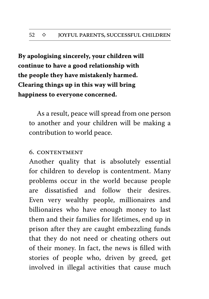**By apologising sincerely, your children will continue to have a good relationship with the people they have mistakenly harmed. Clearing things up in this way will bring happiness to everyone concerned.** 

As a result, peace will spread from one person to another and your children will be making a contribution to world peace.

### 6. CONTENTMENT

Another quality that is absolutely essential for children to develop is contentment. Many problems occur in the world because people are dissatisfied and follow their desires. Even very wealthy people, millionaires and billionaires who have enough money to last them and their families for lifetimes, end up in prison after they are caught embezzling funds that they do not need or cheating others out of their money. In fact, the news is filled with stories of people who, driven by greed, get involved in illegal activities that cause much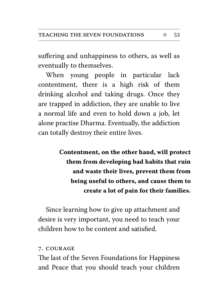suffering and unhappiness to others, as well as eventually to themselves.

When young people in particular lack contentment, there is a high risk of them drinking alcohol and taking drugs. Once they are trapped in addiction, they are unable to live a normal life and even to hold down a job, let alone practise Dharma. Eventually, the addiction can totally destroy their entire lives.

> **Contentment, on the other hand, will protect them from developing bad habits that ruin and waste their lives, prevent them from being useful to others, and cause them to create a lot of pain for their families.**

Since learning how to give up attachment and desire is very important, you need to teach your children how to be content and satisfied.

### 7. COURAGE

The last of the Seven Foundations for Happiness and Peace that you should teach your children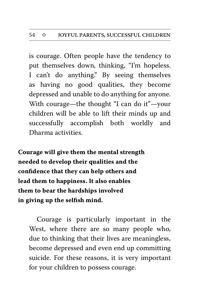is courage. Often people have the tendency to put themselves down, thinking, "I'm hopeless. I can't do anything." By seeing themselves as having no good qualities, they become depressed and unable to do anything for anyone. With courage—the thought "I can do it"—your children will be able to lift their minds up and successfully accomplish both worldly and Dharma activities.

**Courage will give them the mental strength needed to develop their qualities and the confidence that they can help others and lead them to happiness. It also enables them to bear the hardships involved in giving up the selfish mind.** 

Courage is particularly important in the West, where there are so many people who, due to thinking that their lives are meaningless, become depressed and even end up committing suicide. For these reasons, it is very important for your children to possess courage.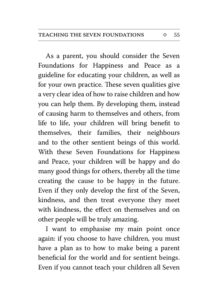As a parent, you should consider the Seven Foundations for Happiness and Peace as a guideline for educating your children, as well as for your own practice. These seven qualities give a very clear idea of how to raise children and how you can help them. By developing them, instead of causing harm to themselves and others, from life to life, your children will bring benefit to themselves, their families, their neighbours and to the other sentient beings of this world. With these Seven Foundations for Happiness and Peace, your children will be happy and do many good things for others, thereby all the time creating the cause to be happy in the future. Even if they only develop the first of the Seven, kindness, and then treat everyone they meet with kindness, the effect on themselves and on other people will be truly amazing.

I want to emphasise my main point once again: if you choose to have children, you must have a plan as to how to make being a parent beneficial for the world and for sentient beings. Even if you cannot teach your children all Seven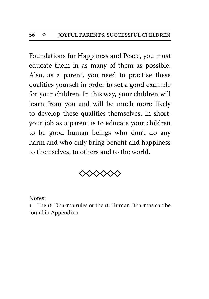Foundations for Happiness and Peace, you must educate them in as many of them as possible. Also, as a parent, you need to practise these qualities yourself in order to set a good example for your children. In this way, your children will learn from you and will be much more likely to develop these qualities themselves. In short, your job as a parent is to educate your children to be good human beings who don't do any harm and who only bring benefit and happiness to themselves, to others and to the world.



Notes:

1 The 16 Dharma rules or the 16 Human Dharmas can be found in Appendix 1.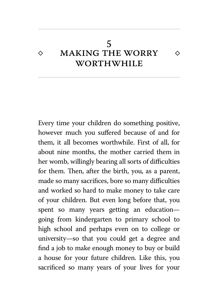### 5 MAKING THE WORRY ◇ WORTHWHILE

♦

Every time your children do something positive, however much you suffered because of and for them, it all becomes worthwhile. First of all, for about nine months, the mother carried them in her womb, willingly bearing all sorts of difficulties for them. Then, after the birth, you, as a parent, made so many sacrifices, bore so many difficulties and worked so hard to make money to take care of your children. But even long before that, you spent so many years getting an education going from kindergarten to primary school to high school and perhaps even on to college or university—so that you could get a degree and find a job to make enough money to buy or build a house for your future children. Like this, you sacrificed so many years of your lives for your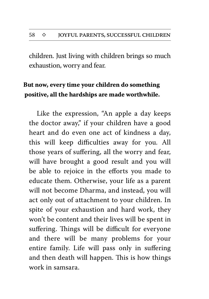children. Just living with children brings so much exhaustion, worry and fear.

### **But now, every time your children do something positive, all the hardships are made worthwhile.**

Like the expression, "An apple a day keeps the doctor away," if your children have a good heart and do even one act of kindness a day, this will keep difficulties away for you. All those years of suffering, all the worry and fear, will have brought a good result and you will be able to rejoice in the efforts you made to educate them. Otherwise, your life as a parent will not become Dharma, and instead, you will act only out of attachment to your children. In spite of your exhaustion and hard work, they won't be content and their lives will be spent in suffering. Things will be difficult for everyone and there will be many problems for your entire family. Life will pass only in suffering and then death will happen. This is how things work in samsara.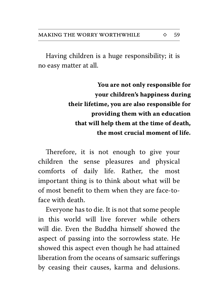Having children is a huge responsibility; it is no easy matter at all.

> **You are not only responsible for your children's happiness during their lifetime, you are also responsible for providing them with an education that will help them at the time of death, the most crucial moment of life.**

Therefore, it is not enough to give your children the sense pleasures and physical comforts of daily life. Rather, the most important thing is to think about what will be of most benefit to them when they are face-toface with death.

Everyone has to die. It is not that some people in this world will live forever while others will die. Even the Buddha himself showed the aspect of passing into the sorrowless state. He showed this aspect even though he had attained liberation from the oceans of samsaric sufferings by ceasing their causes, karma and delusions.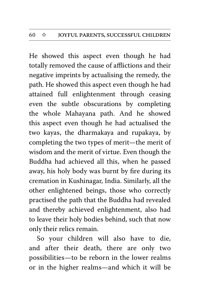He showed this aspect even though he had totally removed the cause of afflictions and their negative imprints by actualising the remedy, the path. He showed this aspect even though he had attained full enlightenment through ceasing even the subtle obscurations by completing the whole Mahayana path. And he showed this aspect even though he had actualised the two kayas, the dharmakaya and rupakaya, by completing the two types of merit—the merit of wisdom and the merit of virtue. Even though the Buddha had achieved all this, when he passed away, his holy body was burnt by fire during its cremation in Kushinagar, India. Similarly, all the other enlightened beings, those who correctly practised the path that the Buddha had revealed and thereby achieved enlightenment, also had to leave their holy bodies behind, such that now only their relics remain.

So your children will also have to die, and after their death, there are only two possibilities—to be reborn in the lower realms or in the higher realms—and which it will be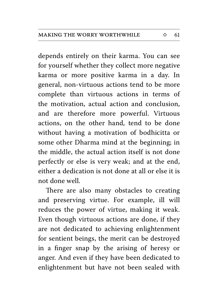depends entirely on their karma. You can see for yourself whether they collect more negative karma or more positive karma in a day. In general, non-virtuous actions tend to be more complete than virtuous actions in terms of the motivation, actual action and conclusion, and are therefore more powerful. Virtuous actions, on the other hand, tend to be done without having a motivation of bodhicitta or some other Dharma mind at the beginning; in the middle, the actual action itself is not done perfectly or else is very weak; and at the end, either a dedication is not done at all or else it is not done well.

There are also many obstacles to creating and preserving virtue. For example, ill will reduces the power of virtue, making it weak. Even though virtuous actions are done, if they are not dedicated to achieving enlightenment for sentient beings, the merit can be destroyed in a finger snap by the arising of heresy or anger. And even if they have been dedicated to enlightenment but have not been sealed with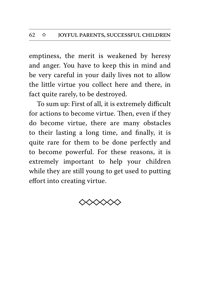emptiness, the merit is weakened by heresy and anger. You have to keep this in mind and be very careful in your daily lives not to allow the little virtue you collect here and there, in fact quite rarely, to be destroyed.

To sum up: First of all, it is extremely difficult for actions to become virtue. Then, even if they do become virtue, there are many obstacles to their lasting a long time, and finally, it is quite rare for them to be done perfectly and to become powerful. For these reasons, it is extremely important to help your children while they are still young to get used to putting effort into creating virtue.

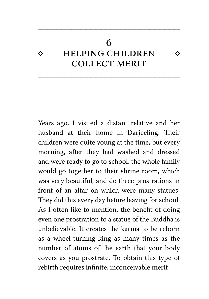♦

# HELPING CHILDREN COLLECT MERIT

Years ago, I visited a distant relative and her husband at their home in Darjeeling. Their children were quite young at the time, but every morning, after they had washed and dressed and were ready to go to school, the whole family would go together to their shrine room, which was very beautiful, and do three prostrations in front of an altar on which were many statues. They did this every day before leaving for school. As I often like to mention, the benefit of doing even one prostration to a statue of the Buddha is unbelievable. It creates the karma to be reborn as a wheel-turning king as many times as the number of atoms of the earth that your body covers as you prostrate. To obtain this type of rebirth requires infinite, inconceivable merit.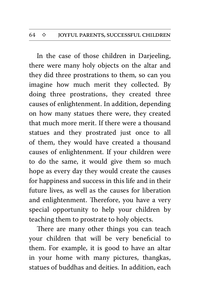In the case of those children in Darjeeling, there were many holy objects on the altar and they did three prostrations to them, so can you imagine how much merit they collected. By doing three prostrations, they created three causes of enlightenment. In addition, depending on how many statues there were, they created that much more merit. If there were a thousand statues and they prostrated just once to all of them, they would have created a thousand causes of enlightenment. If your children were to do the same, it would give them so much hope as every day they would create the causes for happiness and success in this life and in their future lives, as well as the causes for liberation and enlightenment. Therefore, you have a very special opportunity to help your children by teaching them to prostrate to holy objects.

There are many other things you can teach your children that will be very beneficial to them. For example, it is good to have an altar in your home with many pictures, thangkas, statues of buddhas and deities. In addition, each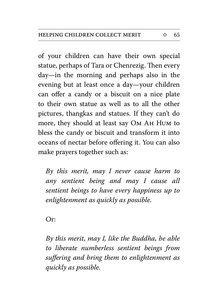of your children can have their own special statue, perhaps of Tara or Chenrezig. Then every day—in the morning and perhaps also in the evening but at least once a day—your children can offer a candy or a biscuit on a nice plate to their own statue as well as to all the other pictures, thangkas and statues. If they can't do more, they should at least say OM AH HUM to bless the candy or biscuit and transform it into oceans of nectar before offering it. You can also make prayers together such as:

*By this merit, may I never cause harm to any sentient being and may I cause all sentient beings to have every happiness up to enlightenment as quickly as possible.*

Or:

*By this merit, may I, like the Buddha, be able to liberate numberless sentient beings from suffering and bring them to enlightenment as quickly as possible.*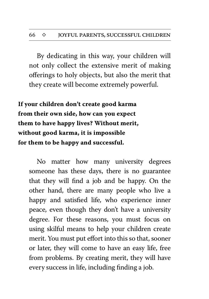By dedicating in this way, your children will not only collect the extensive merit of making offerings to holy objects, but also the merit that they create will become extremely powerful.

**If your children don't create good karma from their own side, how can you expect them to have happy lives? Without merit, without good karma, it is impossible for them to be happy and successful.** 

No matter how many university degrees someone has these days, there is no guarantee that they will find a job and be happy. On the other hand, there are many people who live a happy and satisfied life, who experience inner peace, even though they don't have a university degree. For these reasons, you must focus on using skilful means to help your children create merit. You must put effort into this so that, sooner or later, they will come to have an easy life, free from problems. By creating merit, they will have every success in life, including finding a job.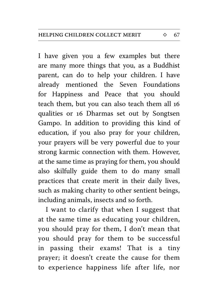I have given you a few examples but there are many more things that you, as a Buddhist parent, can do to help your children. I have already mentioned the Seven Foundations for Happiness and Peace that you should teach them, but you can also teach them all 16 qualities or 16 Dharmas set out by Songtsen Gampo. In addition to providing this kind of education, if you also pray for your children, your prayers will be very powerful due to your strong karmic connection with them. However, at the same time as praying for them, you should also skilfully guide them to do many small practices that create merit in their daily lives, such as making charity to other sentient beings, including animals, insects and so forth.

I want to clarify that when I suggest that at the same time as educating your children, you should pray for them, I don't mean that you should pray for them to be successful in passing their exams! That is a tiny prayer; it doesn't create the cause for them to experience happiness life after life, nor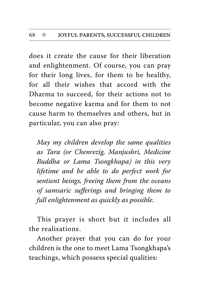does it create the cause for their liberation and enlightenment. Of course, you can pray for their long lives, for them to be healthy, for all their wishes that accord with the Dharma to succeed, for their actions not to become negative karma and for them to not cause harm to themselves and others, but in particular, you can also pray:

*May my children develop the same qualities as Tara (or Chenrezig, Manjushri, Medicine Buddha or Lama Tsongkhapa) in this very lifetime and be able to do perfect work for sentient beings, freeing them from the oceans of samsaric sufferings and bringing them to full enlightenment as quickly as possible.*

This prayer is short but it includes all the realisations.

Another prayer that you can do for your children is the one to meet Lama Tsongkhapa's teachings, which possess special qualities: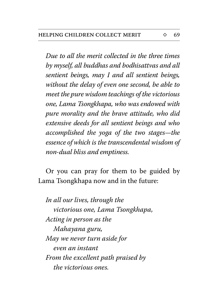*Due to all the merit collected in the three times by myself, all buddhas and bodhisattvas and all sentient beings, may I and all sentient beings, without the delay of even one second, be able to meet the pure wisdom teachings of the victorious one, Lama Tsongkhapa, who was endowed with pure morality and the brave attitude, who did extensive deeds for all sentient beings and who accomplished the yoga of the two stages—the essence of which is the transcendental wisdom of non-dual bliss and emptiness.*

Or you can pray for them to be guided by Lama Tsongkhapa now and in the future:

*In all our lives, through the victorious one, Lama Tsongkhapa, Acting in person as the Mahayana guru, May we never turn aside for even an instant From the excellent path praised by the victorious ones.*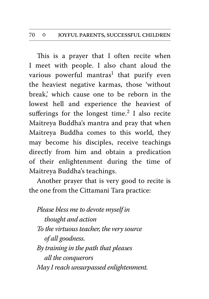### 70  $\Diamond$  IOYFUL PARENTS, SUCCESSFUL CHILDREN

This is a prayer that I often recite when I meet with people. I also chant aloud the various powerful mantras<sup>1</sup> that purify even the heaviest negative karmas, those 'without break,' which cause one to be reborn in the lowest hell and experience the heaviest of sufferings for the longest time. $2$  I also recite Maitreya Buddha's mantra and pray that when Maitreya Buddha comes to this world, they may become his disciples, receive teachings directly from him and obtain a predication of their enlightenment during the time of Maitreya Buddha's teachings.

Another prayer that is very good to recite is the one from the Cittamani Tara practice:

*Please bless me to devote myself in thought and action To the virtuous teacher, the very source of all goodness. By training in the path that pleases all the conquerors May I reach unsurpassed enlightenment.*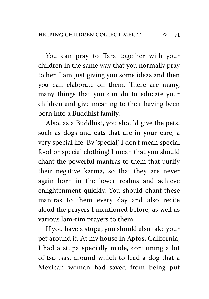You can pray to Tara together with your children in the same way that you normally pray to her. I am just giving you some ideas and then you can elaborate on them. There are many, many things that you can do to educate your children and give meaning to their having been born into a Buddhist family.

Also, as a Buddhist, you should give the pets, such as dogs and cats that are in your care, a very special life. By 'special,' I don't mean special food or special clothing! I mean that you should chant the powerful mantras to them that purify their negative karma, so that they are never again born in the lower realms and achieve enlightenment quickly. You should chant these mantras to them every day and also recite aloud the prayers I mentioned before, as well as various lam-rim prayers to them.

If you have a stupa, you should also take your pet around it. At my house in Aptos, California, I had a stupa specially made, containing a lot of tsa-tsas, around which to lead a dog that a Mexican woman had saved from being put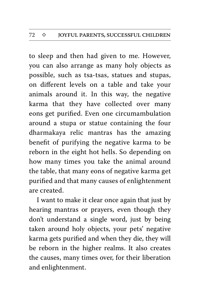to sleep and then had given to me. However, you can also arrange as many holy objects as possible, such as tsa-tsas, statues and stupas, on different levels on a table and take your animals around it. In this way, the negative karma that they have collected over many eons get purified. Even one circumambulation around a stupa or statue containing the four dharmakaya relic mantras has the amazing benefit of purifying the negative karma to be reborn in the eight hot hells. So depending on how many times you take the animal around the table, that many eons of negative karma get purified and that many causes of enlightenment are created.

I want to make it clear once again that just by hearing mantras or prayers, even though they don't understand a single word, just by being taken around holy objects, your pets' negative karma gets purified and when they die, they will be reborn in the higher realms. It also creates the causes, many times over, for their liberation and enlightenment.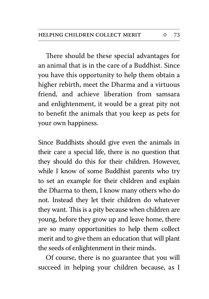There should be these special advantages for an animal that is in the care of a Buddhist. Since you have this opportunity to help them obtain a higher rebirth, meet the Dharma and a virtuous friend, and achieve liberation from samsara and enlightenment, it would be a great pity not to benefit the animals that you keep as pets for your own happiness.

Since Buddhists should give even the animals in their care a special life, there is no question that they should do this for their children. However, while I know of some Buddhist parents who try to set an example for their children and explain the Dharma to them, I know many others who do not. Instead they let their children do whatever they want. This is a pity because when children are young, before they grow up and leave home, there are so many opportunities to help them collect merit and to give them an education that will plant the seeds of enlightenment in their minds.

Of course, there is no guarantee that you will succeed in helping your children because, as I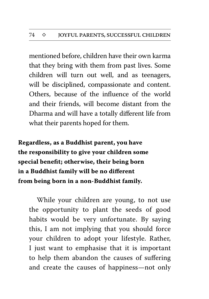mentioned before, children have their own karma that they bring with them from past lives. Some children will turn out well, and as teenagers, will be disciplined, compassionate and content. Others, because of the influence of the world and their friends, will become distant from the Dharma and will have a totally different life from what their parents hoped for them.

**Regardless, as a Buddhist parent, you have the responsibility to give your children some special benefit; otherwise, their being born in a Buddhist family will be no different from being born in a non-Buddhist family.** 

While your children are young, to not use the opportunity to plant the seeds of good habits would be very unfortunate. By saying this, I am not implying that you should force your children to adopt your lifestyle. Rather, I just want to emphasise that it is important to help them abandon the causes of suffering and create the causes of happiness—not only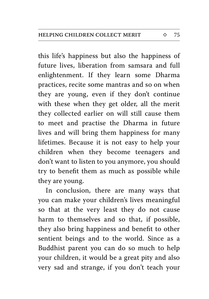this life's happiness but also the happiness of future lives, liberation from samsara and full enlightenment. If they learn some Dharma practices, recite some mantras and so on when they are young, even if they don't continue with these when they get older, all the merit they collected earlier on will still cause them to meet and practise the Dharma in future lives and will bring them happiness for many lifetimes. Because it is not easy to help your children when they become teenagers and don't want to listen to you anymore, you should try to benefit them as much as possible while they are young.

In conclusion, there are many ways that you can make your children's lives meaningful so that at the very least they do not cause harm to themselves and so that, if possible, they also bring happiness and benefit to other sentient beings and to the world. Since as a Buddhist parent you can do so much to help your children, it would be a great pity and also very sad and strange, if you don't teach your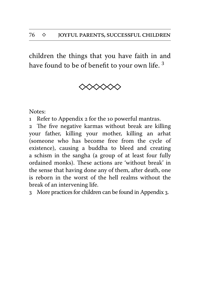children the things that you have faith in and have found to be of benefit to your own life.<sup>3</sup>



Notes:

1 Refer to Appendix 2 for the 10 powerful mantras.

2 The five negative karmas without break are killing your father, killing your mother, killing an arhat (someone who has become free from the cycle of existence), causing a buddha to bleed and creating a schism in the sangha (a group of at least four fully ordained monks). These actions are 'without break' in the sense that having done any of them, after death, one is reborn in the worst of the hell realms without the break of an intervening life.

3 More practices for children can be found in Appendix 3.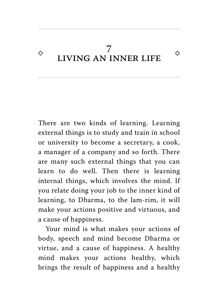#### 7 ◇ ♦ LIVING AN INNER LIE

There are two kinds of learning. Learning external things is to study and train in school or university to become a secretary, a cook, a manager of a company and so forth. There are many such external things that you can learn to do well. Then there is learning internal things, which involves the mind. If you relate doing your job to the inner kind of learning, to Dharma, to the lam-rim, it will make your actions positive and virtuous, and a cause of happiness.

Your mind is what makes your actions of body, speech and mind become Dharma or virtue, and a cause of happiness. A healthy mind makes your actions healthy, which brings the result of happiness and a healthy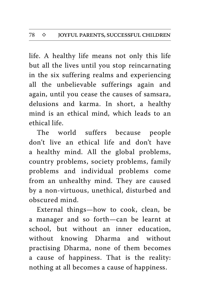life. A healthy life means not only this life but all the lives until you stop reincarnating in the six suffering realms and experiencing all the unbelievable sufferings again and again, until you cease the causes of samsara, delusions and karma. In short, a healthy mind is an ethical mind, which leads to an ethical life.

The world suffers because people don't live an ethical life and don't have a healthy mind. All the global problems, country problems, society problems, family problems and individual problems come from an unhealthy mind. They are caused by a non-virtuous, unethical, disturbed and obscured mind.

External things—how to cook, clean, be a manager and so forth—can be learnt at school, but without an inner education, without knowing Dharma and without practising Dharma, none of them becomes a cause of happiness. That is the reality: nothing at all becomes a cause of happiness.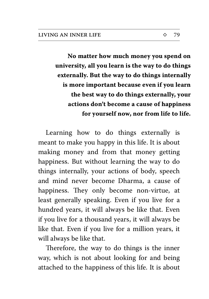**No matter how much money you spend on university, all you learn is the way to do things externally. But the way to do things internally is more important because even if you learn the best way to do things externally, your actions don't become a cause of happiness for yourself now, nor from life to life.** 

Learning how to do things externally is meant to make you happy in this life. It is about making money and from that money getting happiness. But without learning the way to do things internally, your actions of body, speech and mind never become Dharma, a cause of happiness. They only become non-virtue, at least generally speaking. Even if you live for a hundred years, it will always be like that. Even if you live for a thousand years, it will always be like that. Even if you live for a million years, it will always be like that.

Therefore, the way to do things is the inner way, which is not about looking for and being attached to the happiness of this life. It is about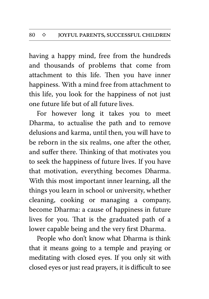having a happy mind, free from the hundreds and thousands of problems that come from attachment to this life. Then you have inner happiness. With a mind free from attachment to this life, you look for the happiness of not just one future life but of all future lives.

For however long it takes you to meet Dharma, to actualise the path and to remove delusions and karma, until then, you will have to be reborn in the six realms, one after the other, and suffer there. Thinking of that motivates you to seek the happiness of future lives. If you have that motivation, everything becomes Dharma. With this most important inner learning, all the things you learn in school or university, whether cleaning, cooking or managing a company, become Dharma: a cause of happiness in future lives for you. That is the graduated path of a lower capable being and the very first Dharma.

People who don't know what Dharma is think that it means going to a temple and praying or meditating with closed eyes. If you only sit with closed eyes or just read prayers, it is difficult to see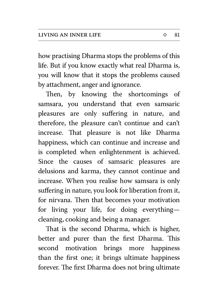how practising Dharma stops the problems of this life. But if you know exactly what real Dharma is, you will know that it stops the problems caused by attachment, anger and ignorance.

Then, by knowing the shortcomings of samsara, you understand that even samsaric pleasures are only suffering in nature, and therefore, the pleasure can't continue and can't increase. That pleasure is not like Dharma happiness, which can continue and increase and is completed when enlightenment is achieved. Since the causes of samsaric pleasures are delusions and karma, they cannot continue and increase. When you realise how samsara is only suffering in nature, you look for liberation from it, for nirvana. Then that becomes your motivation for living your life, for doing everything cleaning, cooking and being a manager.

That is the second Dharma, which is higher, better and purer than the first Dharma. This second motivation brings more happiness than the first one; it brings ultimate happiness forever. The first Dharma does not bring ultimate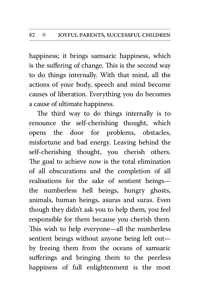happiness; it brings samsaric happiness, which is the suffering of change. This is the second way to do things internally. With that mind, all the actions of your body, speech and mind become causes of liberation. Everything you do becomes a cause of ultimate happiness.

The third way to do things internally is to renounce the self-cherishing thought, which opens the door for problems, obstacles, misfortune and bad energy. Leaving behind the self-cherishing thought, you cherish others. The goal to achieve now is the total elimination of all obscurations and the completion of all realisations for the sake of sentient beings the numberless hell beings, hungry ghosts, animals, human beings, asuras and suras. Even though they didn't ask you to help them, you feel responsible for them because you cherish them. This wish to help everyone—all the numberless sentient beings without anyone being left out by freeing them from the oceans of samsaric sufferings and bringing them to the peerless happiness of full enlightenment is the most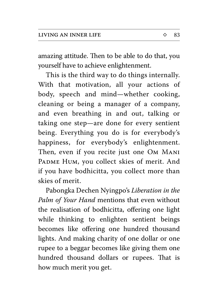amazing attitude. Then to be able to do that, you yourself have to achieve enlightenment.

This is the third way to do things internally. With that motivation, all your actions of body, speech and mind—whether cooking, cleaning or being a manager of a company, and even breathing in and out, talking or taking one step—are done for every sentient being. Everything you do is for everybody's happiness, for everybody's enlightenment. Then, even if you recite just one OM MANI PADME HUM, you collect skies of merit. And if you have bodhicitta, you collect more than skies of merit.

Pabongka Dechen Nyingpo's *Liberation in the Palm of Your Hand* mentions that even without the realisation of bodhicitta, offering one light while thinking to enlighten sentient beings becomes like offering one hundred thousand lights. And making charity of one dollar or one rupee to a beggar becomes like giving them one hundred thousand dollars or rupees. That is how much merit you get.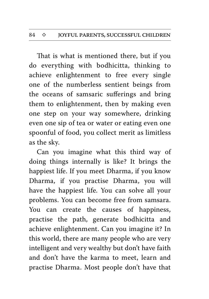That is what is mentioned there, but if you do everything with bodhicitta, thinking to achieve enlightenment to free every single one of the numberless sentient beings from the oceans of samsaric sufferings and bring them to enlightenment, then by making even one step on your way somewhere, drinking even one sip of tea or water or eating even one spoonful of food, you collect merit as limitless as the sky.

Can you imagine what this third way of doing things internally is like? It brings the happiest life. If you meet Dharma, if you know Dharma, if you practise Dharma, you will have the happiest life. You can solve all your problems. You can become free from samsara. You can create the causes of happiness, practise the path, generate bodhicitta and achieve enlightenment. Can you imagine it? In this world, there are many people who are very intelligent and very wealthy but don't have faith and don't have the karma to meet, learn and practise Dharma. Most people don't have that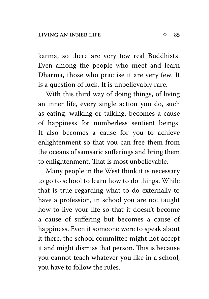karma, so there are very few real Buddhists. Even among the people who meet and learn Dharma, those who practise it are very few. It is a question of luck. It is unbelievably rare.

With this third way of doing things, of living an inner life, every single action you do, such as eating, walking or talking, becomes a cause of happiness for numberless sentient beings. It also becomes a cause for you to achieve enlightenment so that you can free them from the oceans of samsaric sufferings and bring them to enlightenment. That is most unbelievable.

Many people in the West think it is necessary to go to school to learn how to do things. While that is true regarding what to do externally to have a profession, in school you are not taught how to live your life so that it doesn't become a cause of suffering but becomes a cause of happiness. Even if someone were to speak about it there, the school committee might not accept it and might dismiss that person. This is because you cannot teach whatever you like in a school; you have to follow the rules.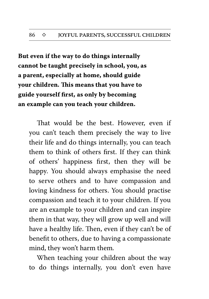**But even if the way to do things internally cannot be taught precisely in school, you, as a parent, especially at home, should guide your children. This means that you have to guide yourself first, as only by becoming an example can you teach your children.** 

That would be the best. However, even if you can't teach them precisely the way to live their life and do things internally, you can teach them to think of others first. If they can think of others' happiness first, then they will be happy. You should always emphasise the need to serve others and to have compassion and loving kindness for others. You should practise compassion and teach it to your children. If you are an example to your children and can inspire them in that way, they will grow up well and will have a healthy life. Then, even if they can't be of benefit to others, due to having a compassionate mind, they won't harm them.

When teaching your children about the way to do things internally, you don't even have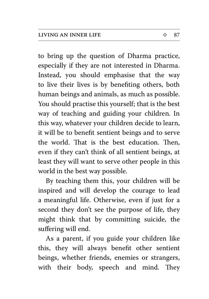to bring up the question of Dharma practice, especially if they are not interested in Dharma. Instead, you should emphasise that the way to live their lives is by benefiting others, both human beings and animals, as much as possible. You should practise this yourself; that is the best way of teaching and guiding your children. In this way, whatever your children decide to learn, it will be to benefit sentient beings and to serve the world. That is the best education. Then, even if they can't think of all sentient beings, at least they will want to serve other people in this world in the best way possible.

By teaching them this, your children will be inspired and will develop the courage to lead a meaningful life. Otherwise, even if just for a second they don't see the purpose of life, they might think that by committing suicide, the suffering will end.

As a parent, if you guide your children like this, they will always benefit other sentient beings, whether friends, enemies or strangers, with their body, speech and mind. They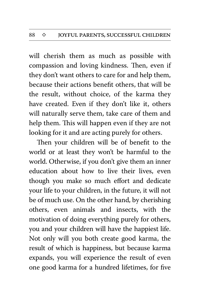will cherish them as much as possible with compassion and loving kindness. Then, even if they don't want others to care for and help them, because their actions benefit others, that will be the result, without choice, of the karma they have created. Even if they don't like it, others will naturally serve them, take care of them and help them. This will happen even if they are not looking for it and are acting purely for others.

Then your children will be of benefit to the world or at least they won't be harmful to the world. Otherwise, if you don't give them an inner education about how to live their lives, even though you make so much effort and dedicate your life to your children, in the future, it will not be of much use. On the other hand, by cherishing others, even animals and insects, with the motivation of doing everything purely for others, you and your children will have the happiest life. Not only will you both create good karma, the result of which is happiness, but because karma expands, you will experience the result of even one good karma for a hundred lifetimes, for five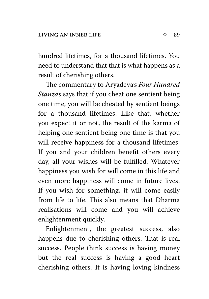hundred lifetimes, for a thousand lifetimes. You need to understand that that is what happens as a result of cherishing others.

The commentary to Aryadeva's *Four Hundred Stanzas* says that if you cheat one sentient being one time, you will be cheated by sentient beings for a thousand lifetimes. Like that, whether you expect it or not, the result of the karma of helping one sentient being one time is that you will receive happiness for a thousand lifetimes. If you and your children benefit others every day, all your wishes will be fulfilled. Whatever happiness you wish for will come in this life and even more happiness will come in future lives. If you wish for something, it will come easily from life to life. This also means that Dharma realisations will come and you will achieve enlightenment quickly.

Enlightenment, the greatest success, also happens due to cherishing others. That is real success. People think success is having money but the real success is having a good heart cherishing others. It is having loving kindness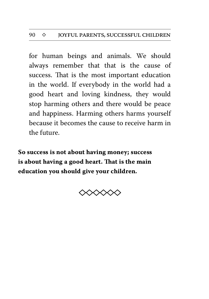for human beings and animals. We should always remember that that is the cause of success. That is the most important education in the world. If everybody in the world had a good heart and loving kindness, they would stop harming others and there would be peace and happiness. Harming others harms yourself because it becomes the cause to receive harm in the future.

**So success is not about having money; success is about having a good heart. That is the main education you should give your children.** 

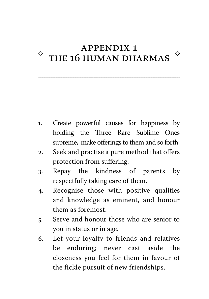#### appendix 1  $\Diamond$ ◇ THE 16 HUMAN DHARMAS

- 1. Create powerful causes for happiness by holding the Three Rare Sublime Ones supreme, make offerings to them and so forth.
- 2. Seek and practise a pure method that offers protection from suffering.
- 3. Repay the kindness of parents by respectfully taking care of them.
- 4. Recognise those with positive qualities and knowledge as eminent, and honour them as foremost.
- 5. Serve and honour those who are senior to you in status or in age.
- 6. Let your loyalty to friends and relatives be enduring; never cast aside the closeness you feel for them in favour of the fickle pursuit of new friendships.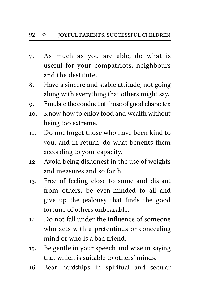- 7. As much as you are able, do what is useful for your compatriots, neighbours and the destitute.
- 8. Have a sincere and stable attitude, not going along with everything that others might say.
- 9. Emulate the conduct of those of good character.
- 10. Know how to enjoy food and wealth without being too extreme.
- 11. Do not forget those who have been kind to you, and in return, do what benefits them according to your capacity.
- 12. Avoid being dishonest in the use of weights and measures and so forth.
- 13. Free of feeling close to some and distant from others, be even-minded to all and give up the jealousy that finds the good fortune of others unbearable.
- 14. Do not fall under the influence of someone who acts with a pretentious or concealing mind or who is a bad friend.
- 15. Be gentle in your speech and wise in saying that which is suitable to others' minds.
- 16. Bear hardships in spiritual and secular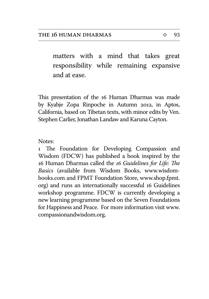matters with a mind that takes great responsibility while remaining expansive and at ease.

This presentation of the 16 Human Dharmas was made by Kyabje Zopa Rinpoche in Autumn 2012, in Aptos, California, based on Tibetan texts, with minor edits by Ven. Stephen Carlier, Jonathan Landaw and Karuna Cayton.

Notes:

1 The Foundation for Developing Compassion and Wisdom (FDCW) has published a book inspired by the 16 Human Dharmas called the *16 Guidelines for Life: The Basics* (available from Wisdom Books, www.wisdombooks.com and FPMT Foundation Store, www.shop.fpmt. org) and runs an internationally successful 16 Guidelines workshop programme. FDCW is currently developing a new learning programme based on the Seven Foundations for Happiness and Peace. For more information visit www. compassionandwisdom.org.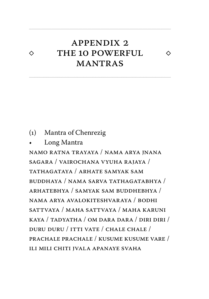## appendix 2 The 10 POWERFUL MANTRAS

♦

- (1) Mantra of Chenrezig
- Long Mantra

◇

NAMO RATNA TRAYAYA / NAMA ARYA JnANA SAGARA / VAIROCHANA VYUHA RAJAYA / TATHAGATAYA / ARHATE SAMYAK SAM BUDDHAYA / NAMA SARVA TATHAGATABHYA / ARHATEBHYA / SAMYAK SAM BUDDHEBHYA / NAMA ARYA AVALOKITESHVARAYA / BODHI SATTVAYA / MAHA SATTVAYA / MAHA KARUNI KAYA / TADYATHA / OM DARA DARA / DIRI DIRI / DURU DURU / ITTI VATE / CHALE CHALE / PRACHALE PRACHALE / KUSUME KUSUME VARE / ILI MILI CHITI JVALA APANAYE SVAHA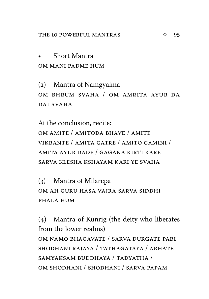Short Mantra OM MANI PaDME HUM

(2) Mantra of Namgyalma<sup>1</sup> OM BHRUM SVAHA / OM AMRITA AYUR DA DAI SVAHA

At the conclusion, recite: OM AMITE / AMITODA BHAVE / AMITE VIKRANTE / AMITA GATRE / AMITO GAMINI / AMITA AYUR DADE / GAGANA KIRTI KARE SARVA KLESHA KSHAYAM KARI YE SVAHA

(3) Mantra of Milarepa OM AH GURU HASA VAJRA SARVA SIDDHI PHALA HUM

(4) Mantra of Kunrig (the deity who liberates from the lower realms) OM NAMO BHAGAVATE / SARVA DURGATE PARI SHODHANI RAJAYA / TATHAGATAYA / ARHATE SAMYAKSAM BUDDHAYA / TADYATHA / OM SHODHANI / SHODHANI / SARVA PAPAM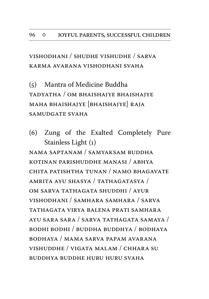VISHODHANI / SHUDHE VISHUDHE / SARVA KARMA AVARANA VISHODHANI SVAHA

(5) Mantra of Medicine Buddha TADYATHA / OM BHAISHAJYE BHAISHAJYE MAHA BHAISHAJYE [BHAISHAJYE] RAJA SAMUDGATE SVAHA

(6) Zung of the Exalted Completely Pure Stainless Light (1) NAMA SAPTANAM / SAMYAKSAM BUDDHA KOTINAN PARISHUDDHE MANASI / ABHYA CHITA PATISHTHA TUNAN / NAMO BHAGAVATE AMRITA AYU SHASYA / TATHAGATASYA / OM SARVA TATHAGATA SHUDDHI / AYUR VISHODHANI / SAMHARA SAMHARA / SARVA TATHAGATA VIRYA BALENA PRATI SAMHARA AYU SARA SARA / SARVA TATHAGATA SAMAYA / BODHI BODHI / BUDDHA BUDDHYA / BODHAYA BODHAYA / MAMA SARVA PAPAM AVARANA VISHUDDHE / VIGATA MALAM / CHHARA SU BUDDHYA BUDDHE HURU HURU SVAHA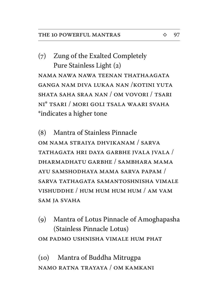(7) Zung of the Exalted Completely Pure Stainless Light (2) NAMA NAWA NAWA TEENAN THATHAAGATA GANGA NAM DIVA LUKAA NAN /KOTINI YUTA SHATA SAHA SRAA NAN / OM VOVORI / TSARI NI\* TSARI / MORI GOLI TSALA WAARI SVAHA \*indicates a higher tone

(8) Mantra of Stainless Pinnacle OM NAMA STRAIYA DHVIKANAM / SARVA TATHAGATA HRI DAYA GARBHE JVALA JVALA / DHARMADHATU GARBHE / SAMBHARA MAMA AYU SAMSHODHAYA MAMA SARVA PAPAM / SARVA TATHAGATA SAMANTOSHNISHA VIMALE VISHUDDHE / HUM HUM HUM HUM / AM VAM SAM JA SVAHA

(9) Mantra of Lotus Pinnacle of Amoghapasha (Stainless Pinnacle Lotus) OM PADMO USHNISHA VIMALE HUM PHAT

(10) Mantra of Buddha Mitrugpa NAMO RATNA TRAYAYA / OM KAMKANI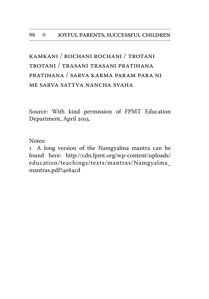### KAMKANI / ROCHANI ROCHANI / TROTANI TROTANI / TRASANI TRASANI PRATIHANA PRATIHANA / SARVA KARMA PARAM PARA NI ME SARVA SATTVA NANCHA SVAHA

Source: With kind permission of FPMT Education Department, April 2015.

Notes:

1 A long version of the Namgyalma mantra can be found here: http://cdn.fpmt.org/wp-content/uploads/ education/teachings/texts/mantras/Namgyalma\_ mantras.pdf?4e84cd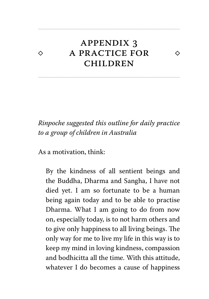# appendix 3 A PRACTICE FOR CHILDREN

*Rinpoche suggested this outline for daily practice to a group of children in Australia*

As a motivation, think:

♦

By the kindness of all sentient beings and the Buddha, Dharma and Sangha, I have not died yet. I am so fortunate to be a human being again today and to be able to practise Dharma. What I am going to do from now on, especially today, is to not harm others and to give only happiness to all living beings. The only way for me to live my life in this way is to keep my mind in loving kindness, compassion and bodhicitta all the time. With this attitude, whatever I do becomes a cause of happiness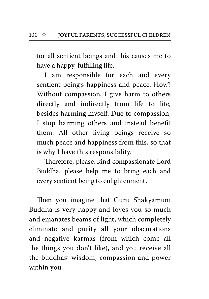for all sentient beings and this causes me to have a happy, fulfilling life.

I am responsible for each and every sentient being's happiness and peace. How? Without compassion, I give harm to others directly and indirectly from life to life, besides harming myself. Due to compassion, I stop harming others and instead benefit them. All other living beings receive so much peace and happiness from this, so that is why I have this responsibility.

Therefore, please, kind compassionate Lord Buddha, please help me to bring each and every sentient being to enlightenment.

Then you imagine that Guru Shakyamuni Buddha is very happy and loves you so much and emanates beams of light, which completely eliminate and purify all your obscurations and negative karmas (from which come all the things you don't like), and you receive all the buddhas' wisdom, compassion and power within you.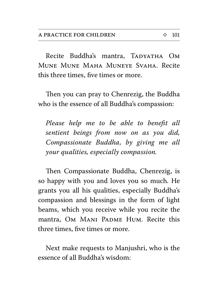Recite Buddha's mantra, TADYATHA OM MUNE MUNE MAHA MUNEYE SVAHA. Recite this three times, five times or more.

Then you can pray to Chenrezig, the Buddha who is the essence of all Buddha's compassion:

*Please help me to be able to benefit all sentient beings from now on as you did, Compassionate Buddha, by giving me all your qualities, especially compassion.*

Then Compassionate Buddha, Chenrezig, is so happy with you and loves you so much. He grants you all his qualities, especially Buddha's compassion and blessings in the form of light beams, which you receive while you recite the mantra, OM MANI PADME HUM. Recite this three times, five times or more.

Next make requests to Manjushri, who is the essence of all Buddha's wisdom: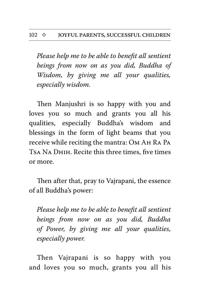*Please help me to be able to benefit all sentient beings from now on as you did, Buddha of Wisdom, by giving me all your qualities, especially wisdom.*

Then Manjushri is so happy with you and loves you so much and grants you all his qualities, especially Buddha's wisdom and blessings in the form of light beams that you receive while reciting the mantra: OM AH RA PA TSA NA DHIH. Recite this three times, five times or more.

Then after that, pray to Vajrapani, the essence of all Buddha's power:

*Please help me to be able to benefit all sentient beings from now on as you did, Buddha of Power, by giving me all your qualities, especially power.*

Then Vajrapani is so happy with you and loves you so much, grants you all his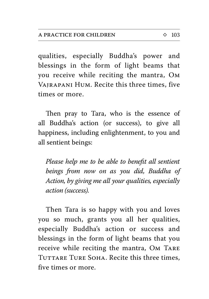qualities, especially Buddha's power and blessings in the form of light beams that you receive while reciting the mantra, OM VAJRAPANI HUM. Recite this three times, five times or more.

Then pray to Tara, who is the essence of all Buddha's action (or success), to give all happiness, including enlightenment, to you and all sentient beings:

*Please help me to be able to benefit all sentient beings from now on as you did, Buddha of Action, by giving me all your qualities, especially action (success).*

Then Tara is so happy with you and loves you so much, grants you all her qualities, especially Buddha's action or success and blessings in the form of light beams that you receive while reciting the mantra, OM TARe TUTTARE TURE SOHA. Recite this three times, five times or more.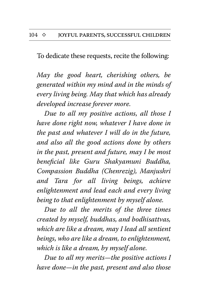To dedicate these requests, recite the following:

*May the good heart, cherishing others, be generated within my mind and in the minds of every living being. May that which has already developed increase forever more.*

*Due to all my positive actions, all those I have done right now, whatever I have done in the past and whatever I will do in the future, and also all the good actions done by others in the past, present and future, may I be most beneficial like Guru Shakyamuni Buddha, Compassion Buddha (Chenrezig), Manjushri and Tara for all living beings, achieve enlightenment and lead each and every living being to that enlightenment by myself alone.*

*Due to all the merits of the three times created by myself, buddhas, and bodhisattvas, which are like a dream, may I lead all sentient beings, who are like a dream, to enlightenment, which is like a dream, by myself alone.*

*Due to all my merits—the positive actions I have done—in the past, present and also those*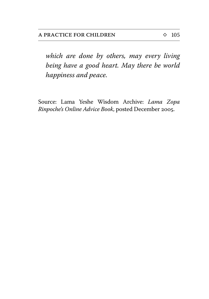*which are done by others, may every living being have a good heart. May there be world happiness and peace.*

Source: Lama Yeshe Wisdom Archive: *Lama Zopa Rinpoche's Online Advice Book*, posted December 2005.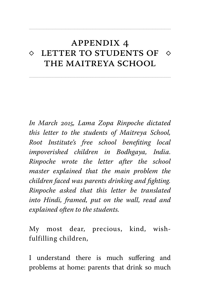# appendix 4  $\Diamond$  LETTER TO STUDENTS OF  $\Diamond$ THE MAITREYA SCHOOL

*In March 2015, Lama Zopa Rinpoche dictated this letter to the students of Maitreya School, Root Institute's free school benefiting local impoverished children in Bodhgaya, India. Rinpoche wrote the letter after the school master explained that the main problem the children faced was parents drinking and fighting. Rinpoche asked that this letter be translated into Hindi, framed, put on the wall, read and explained often to the students.*

My most dear, precious, kind, wishfulfilling children,

I understand there is much suffering and problems at home: parents that drink so much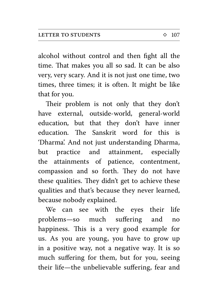alcohol without control and then fight all the time. That makes you all so sad. It can be also very, very scary. And it is not just one time, two times, three times; it is often. It might be like that for you.

Their problem is not only that they don't have external, outside-world, general-world education, but that they don't have inner education. The Sanskrit word for this is 'Dharma'. And not just understanding Dharma, but practice and attainment, especially the attainments of patience, contentment, compassion and so forth. They do not have these qualities. They didn't get to achieve these qualities and that's because they never learned, because nobody explained.

We can see with the eyes their life problems—so much suffering and no happiness. This is a very good example for us. As you are young, you have to grow up in a positive way, not a negative way. It is so much suffering for them, but for you, seeing their life—the unbelievable suffering, fear and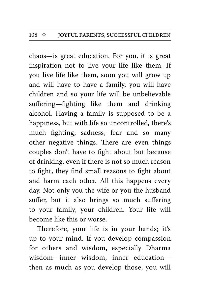chaos—is great education. For you, it is great inspiration not to live your life like them. If you live life like them, soon you will grow up and will have to have a family, you will have children and so your life will be unbelievable suffering—fighting like them and drinking alcohol. Having a family is supposed to be a happiness, but with life so uncontrolled, there's much fighting, sadness, fear and so many other negative things. There are even things couples don't have to fight about but because of drinking, even if there is not so much reason to fight, they find small reasons to fight about and harm each other. All this happens every day. Not only you the wife or you the husband suffer, but it also brings so much suffering to your family, your children. Your life will become like this or worse.

Therefore, your life is in your hands; it's up to your mind. If you develop compassion for others and wisdom, especially Dharma wisdom—inner wisdom, inner education then as much as you develop those, you will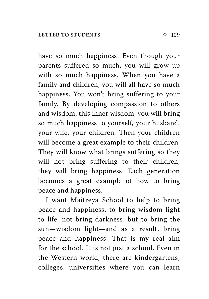have so much happiness. Even though your parents suffered so much, you will grow up with so much happiness. When you have a family and children, you will all have so much happiness. You won't bring suffering to your family. By developing compassion to others and wisdom, this inner wisdom, you will bring so much happiness to yourself, your husband, your wife, your children. Then your children will become a great example to their children. They will know what brings suffering so they will not bring suffering to their children; they will bring happiness. Each generation becomes a great example of how to bring peace and happiness.

I want Maitreya School to help to bring peace and happiness, to bring wisdom light to life, not bring darkness, but to bring the sun—wisdom light—and as a result, bring peace and happiness. That is my real aim for the school. It is not just a school. Even in the Western world, there are kindergartens, colleges, universities where you can learn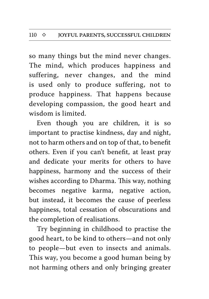so many things but the mind never changes. The mind, which produces happiness and suffering, never changes, and the mind is used only to produce suffering, not to produce happiness. That happens because developing compassion, the good heart and wisdom is limited.

Even though you are children, it is so important to practise kindness, day and night, not to harm others and on top of that, to benefit others. Even if you can't benefit, at least pray and dedicate your merits for others to have happiness, harmony and the success of their wishes according to Dharma. This way, nothing becomes negative karma, negative action, but instead, it becomes the cause of peerless happiness, total cessation of obscurations and the completion of realisations.

Try beginning in childhood to practise the good heart, to be kind to others—and not only to people—but even to insects and animals. This way, you become a good human being by not harming others and only bringing greater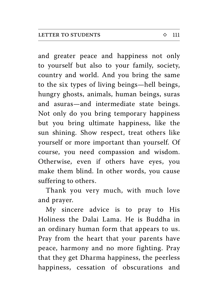and greater peace and happiness not only to yourself but also to your family, society, country and world. And you bring the same to the six types of living beings—hell beings, hungry ghosts, animals, human beings, suras and asuras—and intermediate state beings. Not only do you bring temporary happiness but you bring ultimate happiness, like the sun shining. Show respect, treat others like yourself or more important than yourself. Of course, you need compassion and wisdom. Otherwise, even if others have eyes, you make them blind. In other words, you cause suffering to others.

Thank you very much, with much love and prayer.

My sincere advice is to pray to His Holiness the Dalai Lama. He is Buddha in an ordinary human form that appears to us. Pray from the heart that your parents have peace, harmony and no more fighting. Pray that they get Dharma happiness, the peerless happiness, cessation of obscurations and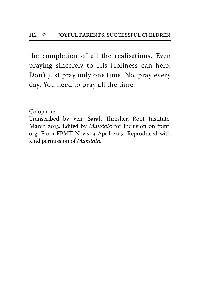the completion of all the realisations. Even praying sincerely to His Holiness can help. Don't just pray only one time. No, pray every day. You need to pray all the time.

Colophon:

Transcribed by Ven. Sarah Thresher, Root Institute, March 2015. Edited by *Mandala* for inclusion on fpmt. org. From FPMT News, 3 April 2015. Reproduced with kind permission of *Mandala.*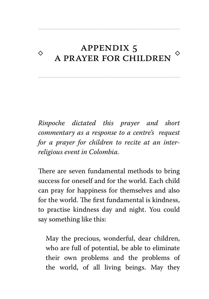#### appendix 5 ♦ ♦ A PRAYER FOR CHILDREN

*Rinpoche dictated this prayer and short commentary as a response to a centre's request for a prayer for children to recite at an interreligious event in Colombia.* 

There are seven fundamental methods to bring success for oneself and for the world. Each child can pray for happiness for themselves and also for the world. The first fundamental is kindness, to practise kindness day and night. You could say something like this:

May the precious, wonderful, dear children, who are full of potential, be able to eliminate their own problems and the problems of the world, of all living beings. May they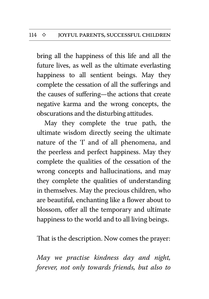bring all the happiness of this life and all the future lives, as well as the ultimate everlasting happiness to all sentient beings. May they complete the cessation of all the sufferings and the causes of suffering—the actions that create negative karma and the wrong concepts, the obscurations and the disturbing attitudes.

May they complete the true path, the ultimate wisdom directly seeing the ultimate nature of the 'I' and of all phenomena, and the peerless and perfect happiness. May they complete the qualities of the cessation of the wrong concepts and hallucinations, and may they complete the qualities of understanding in themselves. May the precious children, who are beautiful, enchanting like a flower about to blossom, offer all the temporary and ultímate happiness to the world and to all living beings.

That is the description. Now comes the prayer:

*May we practise kindness day and night, forever, not only towards friends, but also to*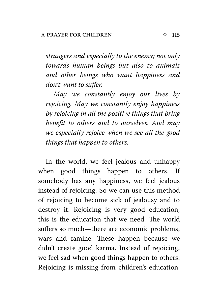*strangers and especially to the enemy; not only towards human beings but also to animals and other beings who want happiness and don't want to suffer.*

*May we constantly enjoy our lives by rejoicing. May we constantly enjoy happiness by rejoicing in all the positive things that bring benefit to others and to ourselves. And may we especially rejoice when we see all the good things that happen to others.*

In the world, we feel jealous and unhappy when good things happen to others. If somebody has any happiness, we feel jealous instead of rejoicing. So we can use this method of rejoicing to become sick of jealousy and to destroy it. Rejoicing is very good education; this is the education that we need. The world suffers so much—there are economic problems, wars and famine. These happen because we didn't create good karma. Instead of rejoicing, we feel sad when good things happen to others. Rejoicing is missing from children's education.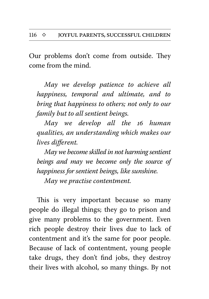Our problems don't come from outside. They come from the mind.

*May we develop patience to achieve all happiness, temporal and ultímate, and to bring that happiness to others; not only to our family but to all sentient beings.*

*May we develop all the 16 human qualities, an understanding which makes our lives different.*

*May we become skilled in not harming sentient beings and may we become only the source of happiness for sentient beings, like sunshine. May we practise contentment.*

This is very important because so many people do illegal things; they go to prison and give many problems to the government. Even rich people destroy their lives due to lack of contentment and it's the same for poor people. Because of lack of contentment, young people take drugs, they don't find jobs, they destroy their lives with alcohol, so many things. By not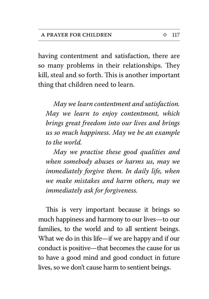having contentment and satisfaction, there are so many problems in their relationships. They kill, steal and so forth. This is another important thing that children need to learn.

*May we learn contentment and satisfaction. May we learn to enjoy contentment, which brings great freedom into our lives and brings us so much happiness. May we be an example to the world.*

*May we practise these good qualities and when somebody abuses or harms us, may we immediately forgive them. In daily life, when we make mistakes and harm others, may we immediately ask for forgiveness.*

This is very important because it brings so much happiness and harmony to our lives—to our families, to the world and to all sentient beings. What we do in this life—if we are happy and if our conduct is positive—that becomes the cause for us to have a good mind and good conduct in future lives, so we don't cause harm to sentient beings.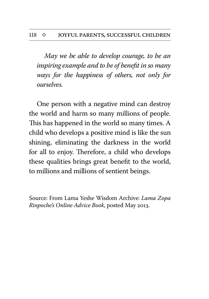*May we be able to develop courage, to be an inspiring example and to be of benefit in so many ways for the happiness of others, not only for ourselves.*

One person with a negative mind can destroy the world and harm so many millions of people. This has happened in the world so many times. A child who develops a positive mind is like the sun shining, eliminating the darkness in the world for all to enjoy. Therefore, a child who develops these qualities brings great benefit to the world, to millions and millions of sentient beings.

Source: From Lama Yeshe Wisdom Archive: *Lama Zopa Rinpoche's Online Advice Book*, posted May 2013.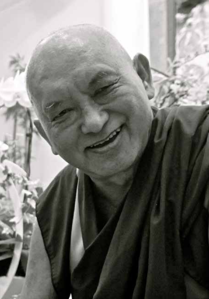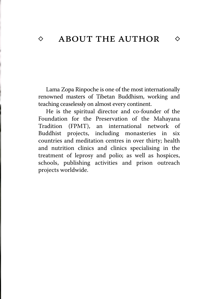◇

Lama Zopa Rinpoche is one of the most internationally renowned masters of Tibetan Buddhism, working and teaching ceaselessly on almost every continent.

He is the spiritual director and co-founder of the Foundation for the Preservation of the Mahayana Tradition (FPMT), an international network of Buddhist projects, including monasteries in six countries and meditation centres in over thirty; health and nutrition clinics and clinics specialising in the treatment of leprosy and polio; as well as hospices, schools, publishing activities and prison outreach projects worldwide.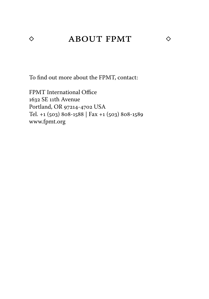### ABOUT FPMT

♦

To find out more about the FPMT, contact:

 $\Diamond$ 

FPMT International Office 1632 SE 11th Avenue Portland, OR 97214-4702 USA Tel. +1 (503) 808-1588 | Fax +1 (503) 808-1589 www.fpmt.org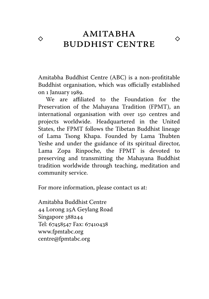### AMITABHA BUDDHIST CENTRE

♦

♦

Amitabha Buddhist Centre (ABC) is a non-profititable Buddhist organisation, which was officially established on 1 January 1989.

We are affiliated to the Foundation for the Preservation of the Mahayana Tradition (FPMT), an international organisation with over 150 centres and projects worldwide. Headquartered in the United States, the FPMT follows the Tibetan Buddhist lineage of Lama Tsong Khapa. Founded by Lama Thubten Yeshe and under the guidance of its spiritual director, Lama Zopa Rinpoche, the FPMT is devoted to preserving and transmitting the Mahayana Buddhist tradition worldwide through teaching, meditation and community service.

For more information, please contact us at:

Amitabha Buddhist Centre 44 Lorong 25A Geylang Road Singapore 388244 Tel: 67458547 Fax: 67410438 www.fpmtabc.org centre@fpmtabc.org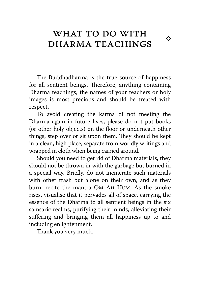## WHAT TO DO WITH DHARMA TEACHINGS

♦

The Buddhadharma is the true source of happiness for all sentient beings. Therefore, anything containing Dharma teachings, the names of your teachers or holy images is most precious and should be treated with respect.

To avoid creating the karma of not meeting the Dharma again in future lives, please do not put books (or other holy objects) on the floor or underneath other things, step over or sit upon them. They should be kept in a clean, high place, separate from worldly writings and wrapped in cloth when being carried around.

Should you need to get rid of Dharma materials, they should not be thrown in with the garbage but burned in a special way. Briefly, do not incinerate such materials with other trash but alone on their own, and as they burn, recite the mantra Om Ah Hum. As the smoke rises, visualise that it pervades all of space, carrying the essence of the Dharma to all sentient beings in the six samsaric realms, purifying their minds, alleviating their suffering and bringing them all happiness up to and including enlightenment.

Thank you very much.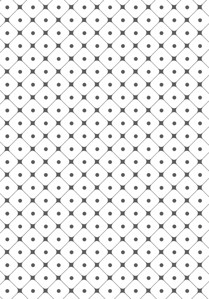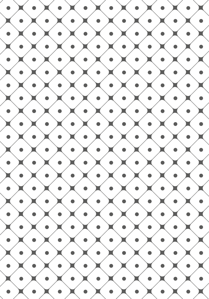